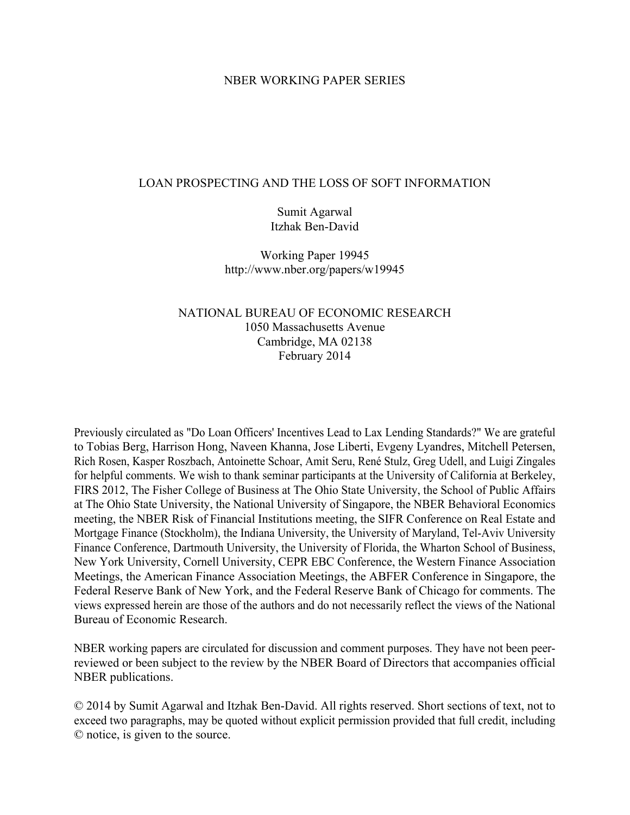### NBER WORKING PAPER SERIES

### LOAN PROSPECTING AND THE LOSS OF SOFT INFORMATION

Sumit Agarwal Itzhak Ben-David

Working Paper 19945 http://www.nber.org/papers/w19945

## NATIONAL BUREAU OF ECONOMIC RESEARCH 1050 Massachusetts Avenue Cambridge, MA 02138 February 2014

Previously circulated as "Do Loan Officers' Incentives Lead to Lax Lending Standards?" We are grateful to Tobias Berg, Harrison Hong, Naveen Khanna, Jose Liberti, Evgeny Lyandres, Mitchell Petersen, Rich Rosen, Kasper Roszbach, Antoinette Schoar, Amit Seru, René Stulz, Greg Udell, and Luigi Zingales for helpful comments. We wish to thank seminar participants at the University of California at Berkeley, FIRS 2012, The Fisher College of Business at The Ohio State University, the School of Public Affairs at The Ohio State University, the National University of Singapore, the NBER Behavioral Economics meeting, the NBER Risk of Financial Institutions meeting, the SIFR Conference on Real Estate and Mortgage Finance (Stockholm), the Indiana University, the University of Maryland, Tel-Aviv University Finance Conference, Dartmouth University, the University of Florida, the Wharton School of Business, New York University, Cornell University, CEPR EBC Conference, the Western Finance Association Meetings, the American Finance Association Meetings, the ABFER Conference in Singapore, the Federal Reserve Bank of New York, and the Federal Reserve Bank of Chicago for comments. The views expressed herein are those of the authors and do not necessarily reflect the views of the National Bureau of Economic Research.

NBER working papers are circulated for discussion and comment purposes. They have not been peerreviewed or been subject to the review by the NBER Board of Directors that accompanies official NBER publications.

© 2014 by Sumit Agarwal and Itzhak Ben-David. All rights reserved. Short sections of text, not to exceed two paragraphs, may be quoted without explicit permission provided that full credit, including © notice, is given to the source.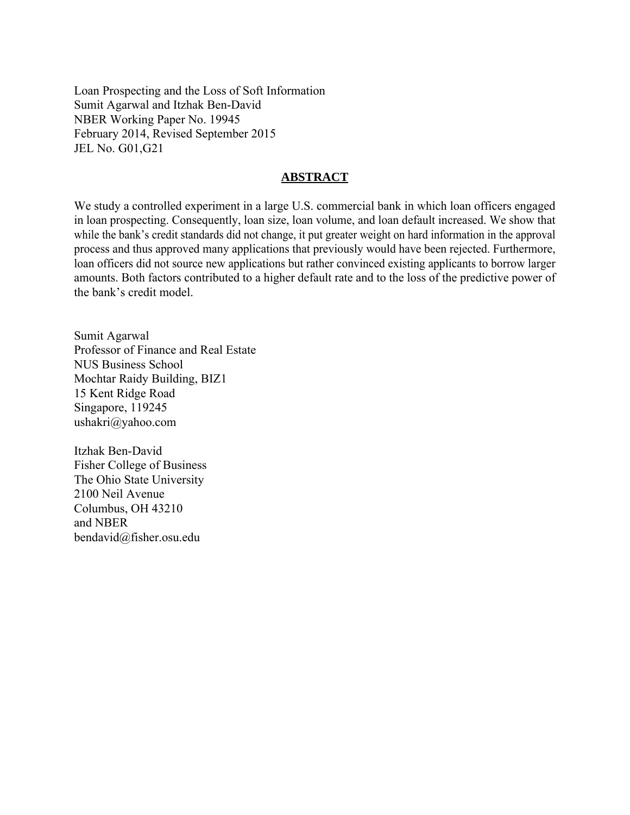Loan Prospecting and the Loss of Soft Information Sumit Agarwal and Itzhak Ben-David NBER Working Paper No. 19945 February 2014, Revised September 2015 JEL No. G01,G21

### **ABSTRACT**

We study a controlled experiment in a large U.S. commercial bank in which loan officers engaged in loan prospecting. Consequently, loan size, loan volume, and loan default increased. We show that while the bank's credit standards did not change, it put greater weight on hard information in the approval process and thus approved many applications that previously would have been rejected. Furthermore, loan officers did not source new applications but rather convinced existing applicants to borrow larger amounts. Both factors contributed to a higher default rate and to the loss of the predictive power of the bank's credit model.

Sumit Agarwal Professor of Finance and Real Estate NUS Business School Mochtar Raidy Building, BIZ1 15 Kent Ridge Road Singapore, 119245 ushakri@yahoo.com

Itzhak Ben-David Fisher College of Business The Ohio State University 2100 Neil Avenue Columbus, OH 43210 and NBER bendavid@fisher.osu.edu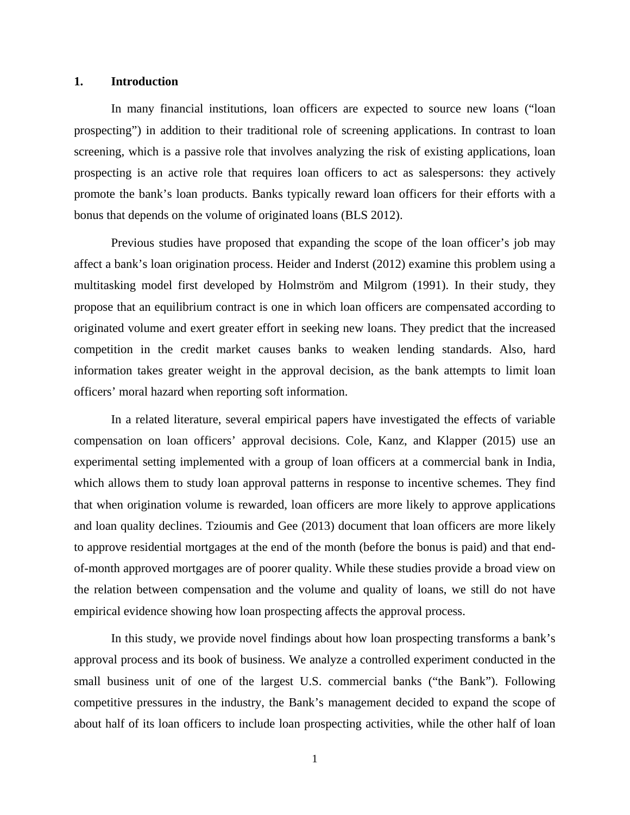#### **1. Introduction**

In many financial institutions, loan officers are expected to source new loans ("loan prospecting") in addition to their traditional role of screening applications. In contrast to loan screening, which is a passive role that involves analyzing the risk of existing applications, loan prospecting is an active role that requires loan officers to act as salespersons: they actively promote the bank's loan products. Banks typically reward loan officers for their efforts with a bonus that depends on the volume of originated loans (BLS 2012).

Previous studies have proposed that expanding the scope of the loan officer's job may affect a bank's loan origination process. Heider and Inderst (2012) examine this problem using a multitasking model first developed by Holmström and Milgrom (1991). In their study, they propose that an equilibrium contract is one in which loan officers are compensated according to originated volume and exert greater effort in seeking new loans. They predict that the increased competition in the credit market causes banks to weaken lending standards. Also, hard information takes greater weight in the approval decision, as the bank attempts to limit loan officers' moral hazard when reporting soft information.

In a related literature, several empirical papers have investigated the effects of variable compensation on loan officers' approval decisions. Cole, Kanz, and Klapper (2015) use an experimental setting implemented with a group of loan officers at a commercial bank in India, which allows them to study loan approval patterns in response to incentive schemes. They find that when origination volume is rewarded, loan officers are more likely to approve applications and loan quality declines. Tzioumis and Gee (2013) document that loan officers are more likely to approve residential mortgages at the end of the month (before the bonus is paid) and that endof-month approved mortgages are of poorer quality. While these studies provide a broad view on the relation between compensation and the volume and quality of loans, we still do not have empirical evidence showing how loan prospecting affects the approval process.

In this study, we provide novel findings about how loan prospecting transforms a bank's approval process and its book of business. We analyze a controlled experiment conducted in the small business unit of one of the largest U.S. commercial banks ("the Bank"). Following competitive pressures in the industry, the Bank's management decided to expand the scope of about half of its loan officers to include loan prospecting activities, while the other half of loan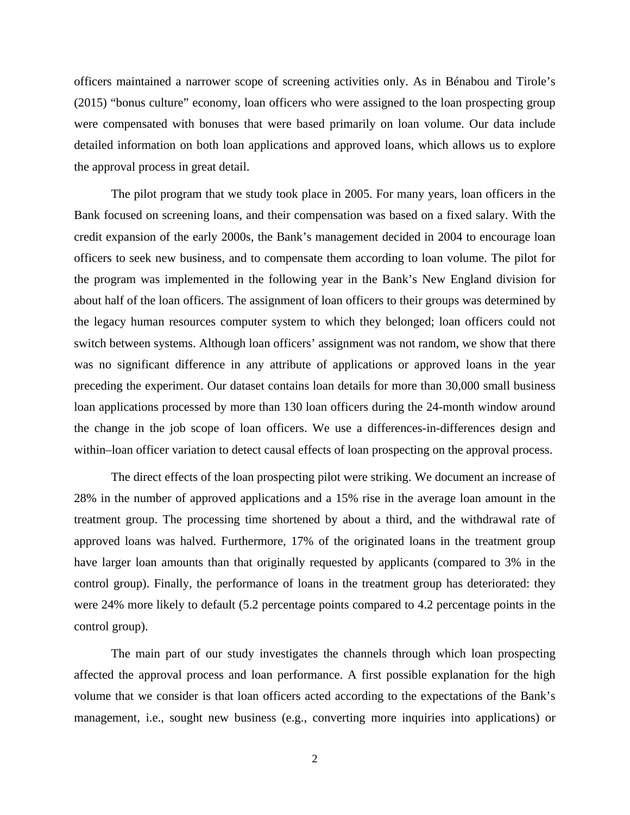officers maintained a narrower scope of screening activities only. As in Bénabou and Tirole's (2015) "bonus culture" economy, loan officers who were assigned to the loan prospecting group were compensated with bonuses that were based primarily on loan volume. Our data include detailed information on both loan applications and approved loans, which allows us to explore the approval process in great detail.

The pilot program that we study took place in 2005. For many years, loan officers in the Bank focused on screening loans, and their compensation was based on a fixed salary. With the credit expansion of the early 2000s, the Bank's management decided in 2004 to encourage loan officers to seek new business, and to compensate them according to loan volume. The pilot for the program was implemented in the following year in the Bank's New England division for about half of the loan officers. The assignment of loan officers to their groups was determined by the legacy human resources computer system to which they belonged; loan officers could not switch between systems. Although loan officers' assignment was not random, we show that there was no significant difference in any attribute of applications or approved loans in the year preceding the experiment. Our dataset contains loan details for more than 30,000 small business loan applications processed by more than 130 loan officers during the 24-month window around the change in the job scope of loan officers. We use a differences-in-differences design and within–loan officer variation to detect causal effects of loan prospecting on the approval process.

The direct effects of the loan prospecting pilot were striking. We document an increase of 28% in the number of approved applications and a 15% rise in the average loan amount in the treatment group. The processing time shortened by about a third, and the withdrawal rate of approved loans was halved. Furthermore, 17% of the originated loans in the treatment group have larger loan amounts than that originally requested by applicants (compared to 3% in the control group). Finally, the performance of loans in the treatment group has deteriorated: they were 24% more likely to default (5.2 percentage points compared to 4.2 percentage points in the control group).

The main part of our study investigates the channels through which loan prospecting affected the approval process and loan performance. A first possible explanation for the high volume that we consider is that loan officers acted according to the expectations of the Bank's management, i.e., sought new business (e.g., converting more inquiries into applications) or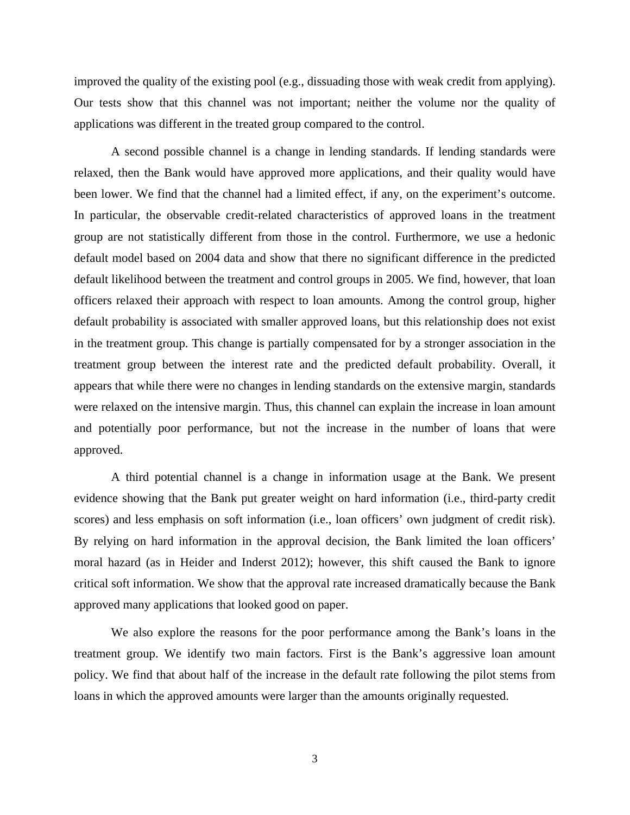improved the quality of the existing pool (e.g., dissuading those with weak credit from applying). Our tests show that this channel was not important; neither the volume nor the quality of applications was different in the treated group compared to the control.

A second possible channel is a change in lending standards. If lending standards were relaxed, then the Bank would have approved more applications, and their quality would have been lower. We find that the channel had a limited effect, if any, on the experiment's outcome. In particular, the observable credit-related characteristics of approved loans in the treatment group are not statistically different from those in the control. Furthermore, we use a hedonic default model based on 2004 data and show that there no significant difference in the predicted default likelihood between the treatment and control groups in 2005. We find, however, that loan officers relaxed their approach with respect to loan amounts. Among the control group, higher default probability is associated with smaller approved loans, but this relationship does not exist in the treatment group. This change is partially compensated for by a stronger association in the treatment group between the interest rate and the predicted default probability. Overall, it appears that while there were no changes in lending standards on the extensive margin, standards were relaxed on the intensive margin. Thus, this channel can explain the increase in loan amount and potentially poor performance, but not the increase in the number of loans that were approved.

A third potential channel is a change in information usage at the Bank. We present evidence showing that the Bank put greater weight on hard information (i.e., third-party credit scores) and less emphasis on soft information (i.e., loan officers' own judgment of credit risk). By relying on hard information in the approval decision, the Bank limited the loan officers' moral hazard (as in Heider and Inderst 2012); however, this shift caused the Bank to ignore critical soft information. We show that the approval rate increased dramatically because the Bank approved many applications that looked good on paper.

We also explore the reasons for the poor performance among the Bank's loans in the treatment group. We identify two main factors. First is the Bank's aggressive loan amount policy. We find that about half of the increase in the default rate following the pilot stems from loans in which the approved amounts were larger than the amounts originally requested.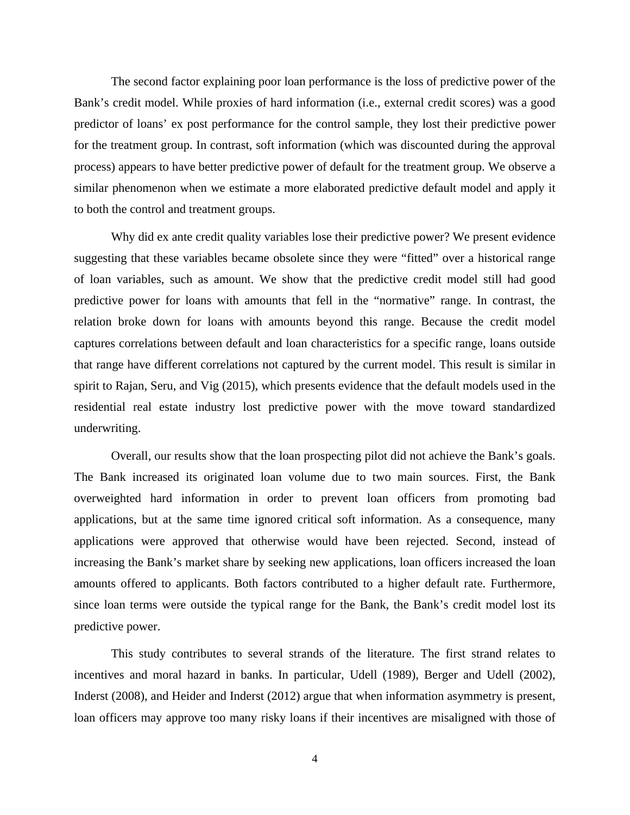The second factor explaining poor loan performance is the loss of predictive power of the Bank's credit model. While proxies of hard information (i.e., external credit scores) was a good predictor of loans' ex post performance for the control sample, they lost their predictive power for the treatment group. In contrast, soft information (which was discounted during the approval process) appears to have better predictive power of default for the treatment group. We observe a similar phenomenon when we estimate a more elaborated predictive default model and apply it to both the control and treatment groups.

Why did ex ante credit quality variables lose their predictive power? We present evidence suggesting that these variables became obsolete since they were "fitted" over a historical range of loan variables, such as amount. We show that the predictive credit model still had good predictive power for loans with amounts that fell in the "normative" range. In contrast, the relation broke down for loans with amounts beyond this range. Because the credit model captures correlations between default and loan characteristics for a specific range, loans outside that range have different correlations not captured by the current model. This result is similar in spirit to Rajan, Seru, and Vig (2015), which presents evidence that the default models used in the residential real estate industry lost predictive power with the move toward standardized underwriting.

Overall, our results show that the loan prospecting pilot did not achieve the Bank's goals. The Bank increased its originated loan volume due to two main sources. First, the Bank overweighted hard information in order to prevent loan officers from promoting bad applications, but at the same time ignored critical soft information. As a consequence, many applications were approved that otherwise would have been rejected. Second, instead of increasing the Bank's market share by seeking new applications, loan officers increased the loan amounts offered to applicants. Both factors contributed to a higher default rate. Furthermore, since loan terms were outside the typical range for the Bank, the Bank's credit model lost its predictive power.

This study contributes to several strands of the literature. The first strand relates to incentives and moral hazard in banks. In particular, Udell (1989), Berger and Udell (2002), Inderst (2008), and Heider and Inderst (2012) argue that when information asymmetry is present, loan officers may approve too many risky loans if their incentives are misaligned with those of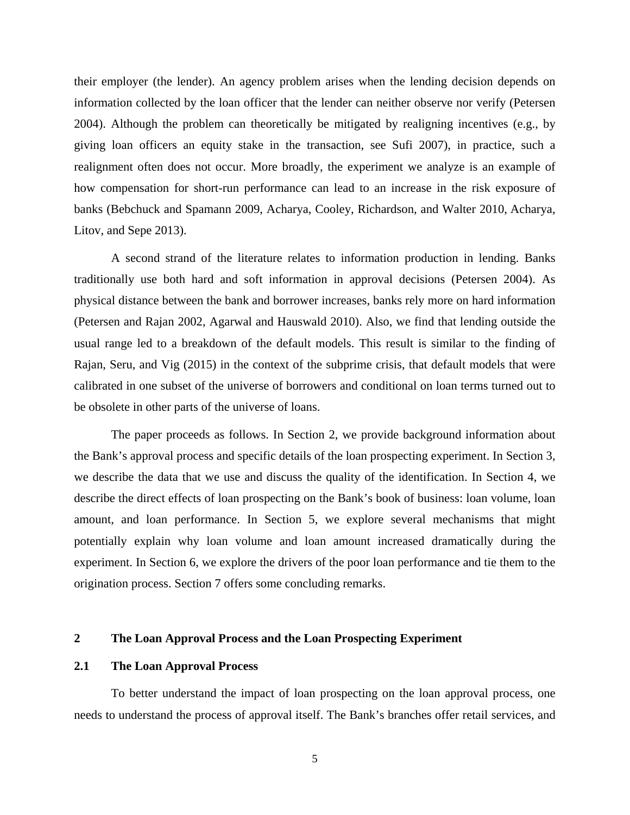their employer (the lender). An agency problem arises when the lending decision depends on information collected by the loan officer that the lender can neither observe nor verify (Petersen 2004). Although the problem can theoretically be mitigated by realigning incentives (e.g., by giving loan officers an equity stake in the transaction, see Sufi 2007), in practice, such a realignment often does not occur. More broadly, the experiment we analyze is an example of how compensation for short-run performance can lead to an increase in the risk exposure of banks (Bebchuck and Spamann 2009, Acharya, Cooley, Richardson, and Walter 2010, Acharya, Litov, and Sepe 2013).

A second strand of the literature relates to information production in lending. Banks traditionally use both hard and soft information in approval decisions (Petersen 2004). As physical distance between the bank and borrower increases, banks rely more on hard information (Petersen and Rajan 2002, Agarwal and Hauswald 2010). Also, we find that lending outside the usual range led to a breakdown of the default models. This result is similar to the finding of Rajan, Seru, and Vig (2015) in the context of the subprime crisis, that default models that were calibrated in one subset of the universe of borrowers and conditional on loan terms turned out to be obsolete in other parts of the universe of loans.

The paper proceeds as follows. In Section 2, we provide background information about the Bank's approval process and specific details of the loan prospecting experiment. In Section 3, we describe the data that we use and discuss the quality of the identification. In Section 4, we describe the direct effects of loan prospecting on the Bank's book of business: loan volume, loan amount, and loan performance. In Section 5, we explore several mechanisms that might potentially explain why loan volume and loan amount increased dramatically during the experiment. In Section 6, we explore the drivers of the poor loan performance and tie them to the origination process. Section 7 offers some concluding remarks.

### **2 The Loan Approval Process and the Loan Prospecting Experiment**

### **2.1 The Loan Approval Process**

To better understand the impact of loan prospecting on the loan approval process, one needs to understand the process of approval itself. The Bank's branches offer retail services, and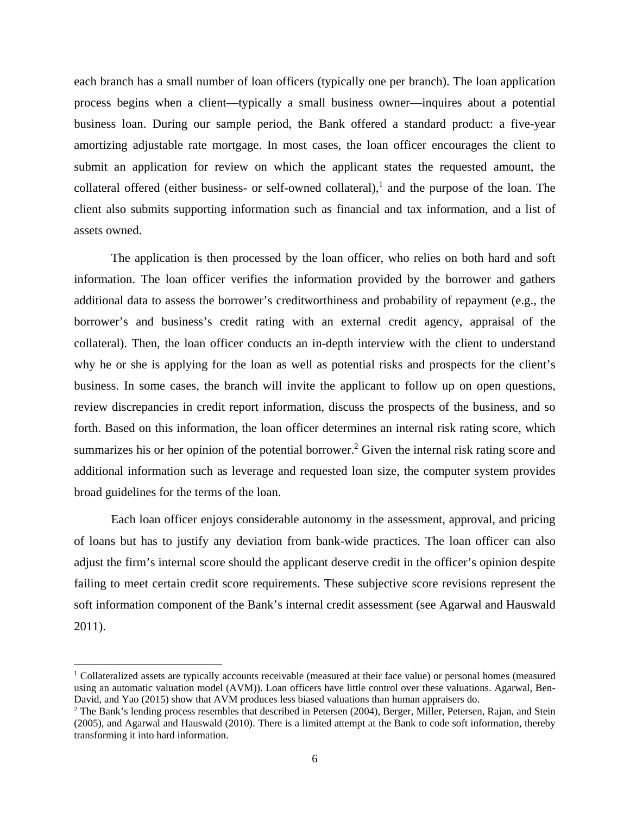each branch has a small number of loan officers (typically one per branch). The loan application process begins when a client—typically a small business owner—inquires about a potential business loan. During our sample period, the Bank offered a standard product: a five-year amortizing adjustable rate mortgage. In most cases, the loan officer encourages the client to submit an application for review on which the applicant states the requested amount, the collateral offered (either business- or self-owned collateral),<sup>1</sup> and the purpose of the loan. The client also submits supporting information such as financial and tax information, and a list of assets owned.

The application is then processed by the loan officer, who relies on both hard and soft information. The loan officer verifies the information provided by the borrower and gathers additional data to assess the borrower's creditworthiness and probability of repayment (e.g., the borrower's and business's credit rating with an external credit agency, appraisal of the collateral). Then, the loan officer conducts an in-depth interview with the client to understand why he or she is applying for the loan as well as potential risks and prospects for the client's business. In some cases, the branch will invite the applicant to follow up on open questions, review discrepancies in credit report information, discuss the prospects of the business, and so forth. Based on this information, the loan officer determines an internal risk rating score, which summarizes his or her opinion of the potential borrower.<sup>2</sup> Given the internal risk rating score and additional information such as leverage and requested loan size, the computer system provides broad guidelines for the terms of the loan.

Each loan officer enjoys considerable autonomy in the assessment, approval, and pricing of loans but has to justify any deviation from bank-wide practices. The loan officer can also adjust the firm's internal score should the applicant deserve credit in the officer's opinion despite failing to meet certain credit score requirements. These subjective score revisions represent the soft information component of the Bank's internal credit assessment (see Agarwal and Hauswald 2011).

<sup>1</sup> Collateralized assets are typically accounts receivable (measured at their face value) or personal homes (measured using an automatic valuation model (AVM)). Loan officers have little control over these valuations. Agarwal, Ben-David, and Yao (2015) show that AVM produces less biased valuations than human appraisers do.

<sup>&</sup>lt;sup>2</sup> The Bank's lending process resembles that described in Petersen (2004), Berger, Miller, Petersen, Rajan, and Stein (2005), and Agarwal and Hauswald (2010). There is a limited attempt at the Bank to code soft information, thereby transforming it into hard information.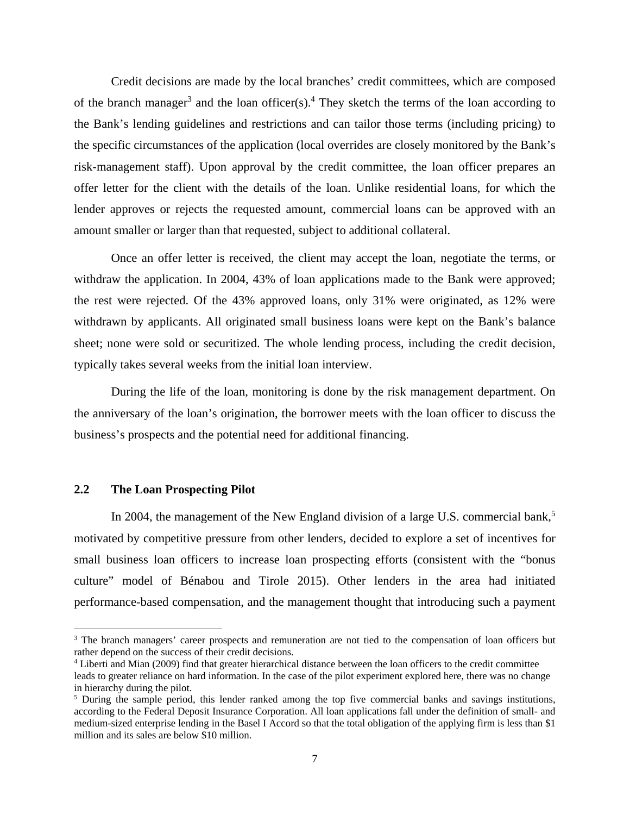Credit decisions are made by the local branches' credit committees, which are composed of the branch manager<sup>3</sup> and the loan officer(s).<sup>4</sup> They sketch the terms of the loan according to the Bank's lending guidelines and restrictions and can tailor those terms (including pricing) to the specific circumstances of the application (local overrides are closely monitored by the Bank's risk-management staff). Upon approval by the credit committee, the loan officer prepares an offer letter for the client with the details of the loan. Unlike residential loans, for which the lender approves or rejects the requested amount, commercial loans can be approved with an amount smaller or larger than that requested, subject to additional collateral.

Once an offer letter is received, the client may accept the loan, negotiate the terms, or withdraw the application. In 2004, 43% of loan applications made to the Bank were approved; the rest were rejected. Of the 43% approved loans, only 31% were originated, as 12% were withdrawn by applicants. All originated small business loans were kept on the Bank's balance sheet; none were sold or securitized. The whole lending process, including the credit decision, typically takes several weeks from the initial loan interview.

During the life of the loan, monitoring is done by the risk management department. On the anniversary of the loan's origination, the borrower meets with the loan officer to discuss the business's prospects and the potential need for additional financing.

### **2.2 The Loan Prospecting Pilot**

In 2004, the management of the New England division of a large U.S. commercial bank,<sup>5</sup> motivated by competitive pressure from other lenders, decided to explore a set of incentives for small business loan officers to increase loan prospecting efforts (consistent with the "bonus culture" model of Bénabou and Tirole 2015). Other lenders in the area had initiated performance-based compensation, and the management thought that introducing such a payment

<sup>&</sup>lt;sup>3</sup> The branch managers' career prospects and remuneration are not tied to the compensation of loan officers but rather depend on the success of their credit decisions. 4

Liberti and Mian (2009) find that greater hierarchical distance between the loan officers to the credit committee leads to greater reliance on hard information. In the case of the pilot experiment explored here, there was no change in hierarchy during the pilot.

<sup>&</sup>lt;sup>5</sup> During the sample period, this lender ranked among the top five commercial banks and savings institutions, according to the Federal Deposit Insurance Corporation. All loan applications fall under the definition of small- and medium-sized enterprise lending in the Basel I Accord so that the total obligation of the applying firm is less than \$1 million and its sales are below \$10 million.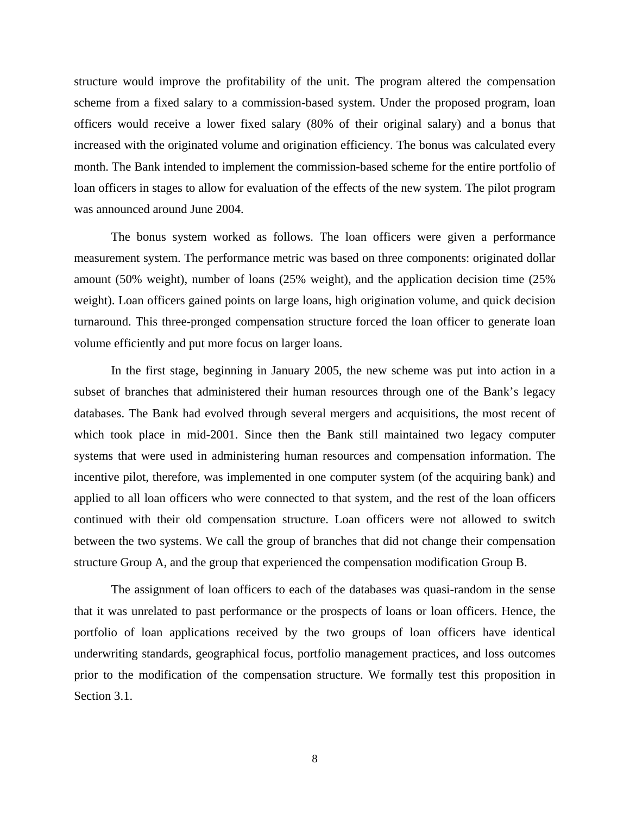structure would improve the profitability of the unit. The program altered the compensation scheme from a fixed salary to a commission-based system. Under the proposed program, loan officers would receive a lower fixed salary (80% of their original salary) and a bonus that increased with the originated volume and origination efficiency. The bonus was calculated every month. The Bank intended to implement the commission-based scheme for the entire portfolio of loan officers in stages to allow for evaluation of the effects of the new system. The pilot program was announced around June 2004.

The bonus system worked as follows. The loan officers were given a performance measurement system. The performance metric was based on three components: originated dollar amount (50% weight), number of loans (25% weight), and the application decision time (25% weight). Loan officers gained points on large loans, high origination volume, and quick decision turnaround. This three-pronged compensation structure forced the loan officer to generate loan volume efficiently and put more focus on larger loans.

In the first stage, beginning in January 2005, the new scheme was put into action in a subset of branches that administered their human resources through one of the Bank's legacy databases. The Bank had evolved through several mergers and acquisitions, the most recent of which took place in mid-2001. Since then the Bank still maintained two legacy computer systems that were used in administering human resources and compensation information. The incentive pilot, therefore, was implemented in one computer system (of the acquiring bank) and applied to all loan officers who were connected to that system, and the rest of the loan officers continued with their old compensation structure. Loan officers were not allowed to switch between the two systems. We call the group of branches that did not change their compensation structure Group A, and the group that experienced the compensation modification Group B.

The assignment of loan officers to each of the databases was quasi-random in the sense that it was unrelated to past performance or the prospects of loans or loan officers. Hence, the portfolio of loan applications received by the two groups of loan officers have identical underwriting standards, geographical focus, portfolio management practices, and loss outcomes prior to the modification of the compensation structure. We formally test this proposition in Section 3.1.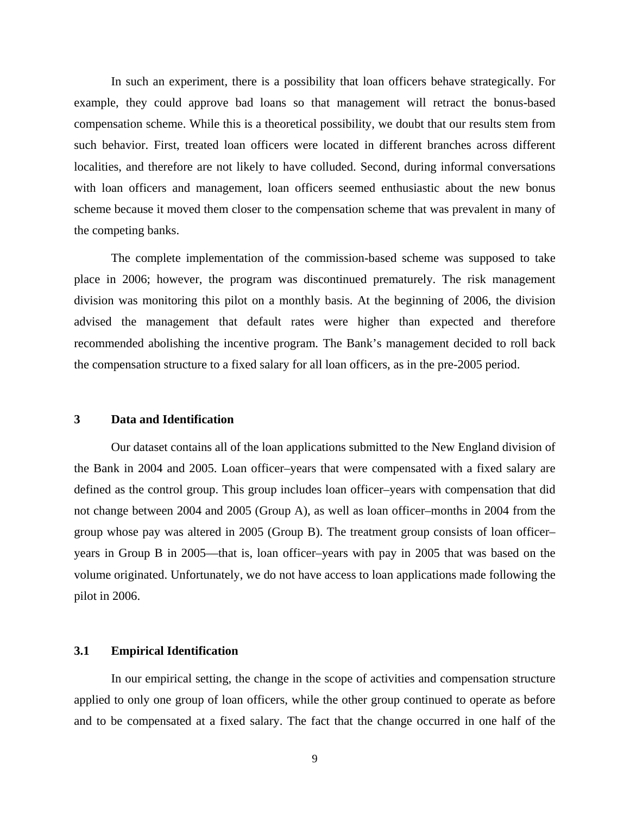In such an experiment, there is a possibility that loan officers behave strategically. For example, they could approve bad loans so that management will retract the bonus-based compensation scheme. While this is a theoretical possibility, we doubt that our results stem from such behavior. First, treated loan officers were located in different branches across different localities, and therefore are not likely to have colluded. Second, during informal conversations with loan officers and management, loan officers seemed enthusiastic about the new bonus scheme because it moved them closer to the compensation scheme that was prevalent in many of the competing banks.

The complete implementation of the commission-based scheme was supposed to take place in 2006; however, the program was discontinued prematurely. The risk management division was monitoring this pilot on a monthly basis. At the beginning of 2006, the division advised the management that default rates were higher than expected and therefore recommended abolishing the incentive program. The Bank's management decided to roll back the compensation structure to a fixed salary for all loan officers, as in the pre-2005 period.

### **3 Data and Identification**

Our dataset contains all of the loan applications submitted to the New England division of the Bank in 2004 and 2005. Loan officer–years that were compensated with a fixed salary are defined as the control group. This group includes loan officer–years with compensation that did not change between 2004 and 2005 (Group A), as well as loan officer–months in 2004 from the group whose pay was altered in 2005 (Group B). The treatment group consists of loan officer– years in Group B in 2005—that is, loan officer–years with pay in 2005 that was based on the volume originated. Unfortunately, we do not have access to loan applications made following the pilot in 2006.

### **3.1 Empirical Identification**

In our empirical setting, the change in the scope of activities and compensation structure applied to only one group of loan officers, while the other group continued to operate as before and to be compensated at a fixed salary. The fact that the change occurred in one half of the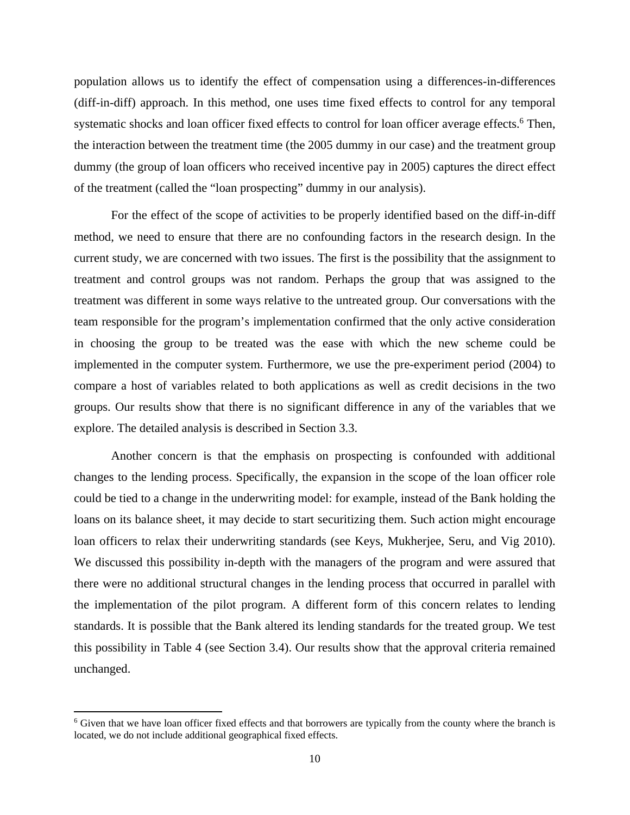population allows us to identify the effect of compensation using a differences-in-differences (diff-in-diff) approach. In this method, one uses time fixed effects to control for any temporal systematic shocks and loan officer fixed effects to control for loan officer average effects.<sup>6</sup> Then, the interaction between the treatment time (the 2005 dummy in our case) and the treatment group dummy (the group of loan officers who received incentive pay in 2005) captures the direct effect of the treatment (called the "loan prospecting" dummy in our analysis).

For the effect of the scope of activities to be properly identified based on the diff-in-diff method, we need to ensure that there are no confounding factors in the research design. In the current study, we are concerned with two issues. The first is the possibility that the assignment to treatment and control groups was not random. Perhaps the group that was assigned to the treatment was different in some ways relative to the untreated group. Our conversations with the team responsible for the program's implementation confirmed that the only active consideration in choosing the group to be treated was the ease with which the new scheme could be implemented in the computer system. Furthermore, we use the pre-experiment period (2004) to compare a host of variables related to both applications as well as credit decisions in the two groups. Our results show that there is no significant difference in any of the variables that we explore. The detailed analysis is described in Section 3.3.

Another concern is that the emphasis on prospecting is confounded with additional changes to the lending process. Specifically, the expansion in the scope of the loan officer role could be tied to a change in the underwriting model: for example, instead of the Bank holding the loans on its balance sheet, it may decide to start securitizing them. Such action might encourage loan officers to relax their underwriting standards (see Keys, Mukherjee, Seru, and Vig 2010). We discussed this possibility in-depth with the managers of the program and were assured that there were no additional structural changes in the lending process that occurred in parallel with the implementation of the pilot program. A different form of this concern relates to lending standards. It is possible that the Bank altered its lending standards for the treated group. We test this possibility in Table 4 (see Section 3.4). Our results show that the approval criteria remained unchanged.

<sup>&</sup>lt;sup>6</sup> Given that we have loan officer fixed effects and that borrowers are typically from the county where the branch is located, we do not include additional geographical fixed effects.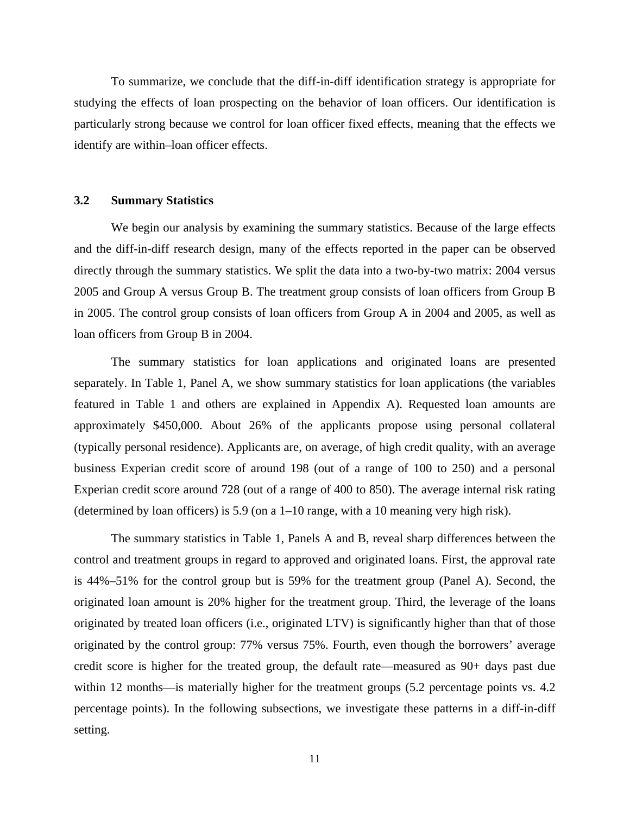To summarize, we conclude that the diff-in-diff identification strategy is appropriate for studying the effects of loan prospecting on the behavior of loan officers. Our identification is particularly strong because we control for loan officer fixed effects, meaning that the effects we identify are within–loan officer effects.

### **3.2 Summary Statistics**

We begin our analysis by examining the summary statistics. Because of the large effects and the diff-in-diff research design, many of the effects reported in the paper can be observed directly through the summary statistics. We split the data into a two-by-two matrix: 2004 versus 2005 and Group A versus Group B. The treatment group consists of loan officers from Group B in 2005. The control group consists of loan officers from Group A in 2004 and 2005, as well as loan officers from Group B in 2004.

The summary statistics for loan applications and originated loans are presented separately. In Table 1, Panel A, we show summary statistics for loan applications (the variables featured in Table 1 and others are explained in Appendix A). Requested loan amounts are approximately \$450,000. About 26% of the applicants propose using personal collateral (typically personal residence). Applicants are, on average, of high credit quality, with an average business Experian credit score of around 198 (out of a range of 100 to 250) and a personal Experian credit score around 728 (out of a range of 400 to 850). The average internal risk rating (determined by loan officers) is 5.9 (on a 1–10 range, with a 10 meaning very high risk).

The summary statistics in Table 1, Panels A and B, reveal sharp differences between the control and treatment groups in regard to approved and originated loans. First, the approval rate is 44%–51% for the control group but is 59% for the treatment group (Panel A). Second, the originated loan amount is 20% higher for the treatment group. Third, the leverage of the loans originated by treated loan officers (i.e., originated LTV) is significantly higher than that of those originated by the control group: 77% versus 75%. Fourth, even though the borrowers' average credit score is higher for the treated group, the default rate—measured as 90+ days past due within 12 months—is materially higher for the treatment groups (5.2 percentage points vs. 4.2 percentage points). In the following subsections, we investigate these patterns in a diff-in-diff setting.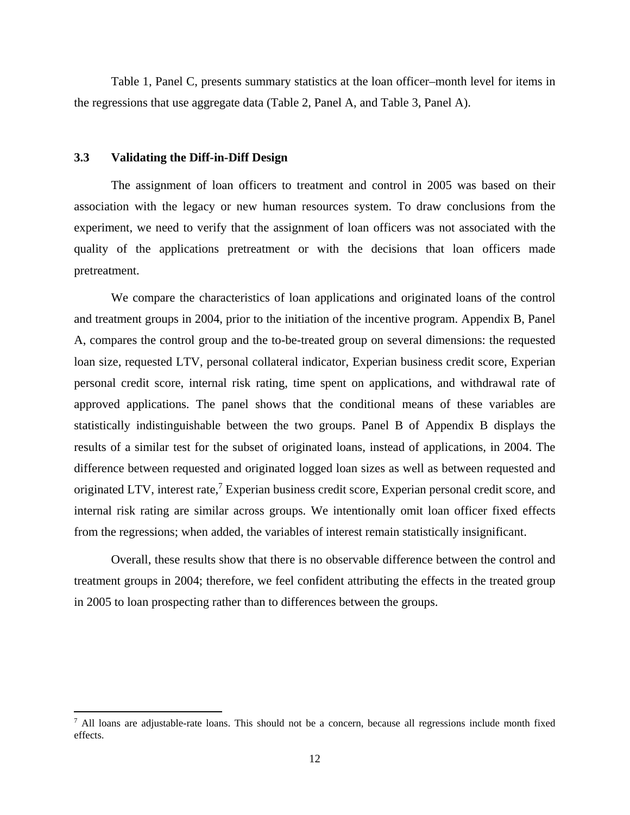Table 1, Panel C, presents summary statistics at the loan officer–month level for items in the regressions that use aggregate data (Table 2, Panel A, and Table 3, Panel A).

### **3.3 Validating the Diff-in-Diff Design**

The assignment of loan officers to treatment and control in 2005 was based on their association with the legacy or new human resources system. To draw conclusions from the experiment, we need to verify that the assignment of loan officers was not associated with the quality of the applications pretreatment or with the decisions that loan officers made pretreatment.

We compare the characteristics of loan applications and originated loans of the control and treatment groups in 2004, prior to the initiation of the incentive program. Appendix B, Panel A, compares the control group and the to-be-treated group on several dimensions: the requested loan size, requested LTV, personal collateral indicator, Experian business credit score, Experian personal credit score, internal risk rating, time spent on applications, and withdrawal rate of approved applications. The panel shows that the conditional means of these variables are statistically indistinguishable between the two groups. Panel B of Appendix B displays the results of a similar test for the subset of originated loans, instead of applications, in 2004. The difference between requested and originated logged loan sizes as well as between requested and originated LTV, interest rate,<sup>7</sup> Experian business credit score, Experian personal credit score, and internal risk rating are similar across groups. We intentionally omit loan officer fixed effects from the regressions; when added, the variables of interest remain statistically insignificant.

Overall, these results show that there is no observable difference between the control and treatment groups in 2004; therefore, we feel confident attributing the effects in the treated group in 2005 to loan prospecting rather than to differences between the groups.

<sup>&</sup>lt;sup>7</sup> All loans are adjustable-rate loans. This should not be a concern, because all regressions include month fixed effects.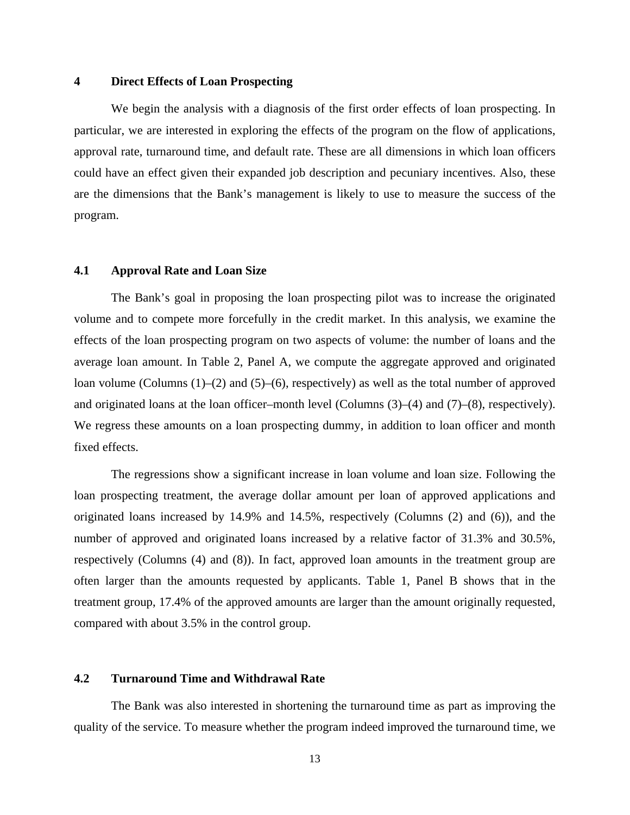### **4 Direct Effects of Loan Prospecting**

We begin the analysis with a diagnosis of the first order effects of loan prospecting. In particular, we are interested in exploring the effects of the program on the flow of applications, approval rate, turnaround time, and default rate. These are all dimensions in which loan officers could have an effect given their expanded job description and pecuniary incentives. Also, these are the dimensions that the Bank's management is likely to use to measure the success of the program.

### **4.1 Approval Rate and Loan Size**

The Bank's goal in proposing the loan prospecting pilot was to increase the originated volume and to compete more forcefully in the credit market. In this analysis, we examine the effects of the loan prospecting program on two aspects of volume: the number of loans and the average loan amount. In Table 2, Panel A, we compute the aggregate approved and originated loan volume (Columns (1)–(2) and (5)–(6), respectively) as well as the total number of approved and originated loans at the loan officer–month level (Columns (3)–(4) and (7)–(8), respectively). We regress these amounts on a loan prospecting dummy, in addition to loan officer and month fixed effects.

The regressions show a significant increase in loan volume and loan size. Following the loan prospecting treatment, the average dollar amount per loan of approved applications and originated loans increased by 14.9% and 14.5%, respectively (Columns (2) and (6)), and the number of approved and originated loans increased by a relative factor of 31.3% and 30.5%, respectively (Columns (4) and (8)). In fact, approved loan amounts in the treatment group are often larger than the amounts requested by applicants. Table 1, Panel B shows that in the treatment group, 17.4% of the approved amounts are larger than the amount originally requested, compared with about 3.5% in the control group.

### **4.2 Turnaround Time and Withdrawal Rate**

The Bank was also interested in shortening the turnaround time as part as improving the quality of the service. To measure whether the program indeed improved the turnaround time, we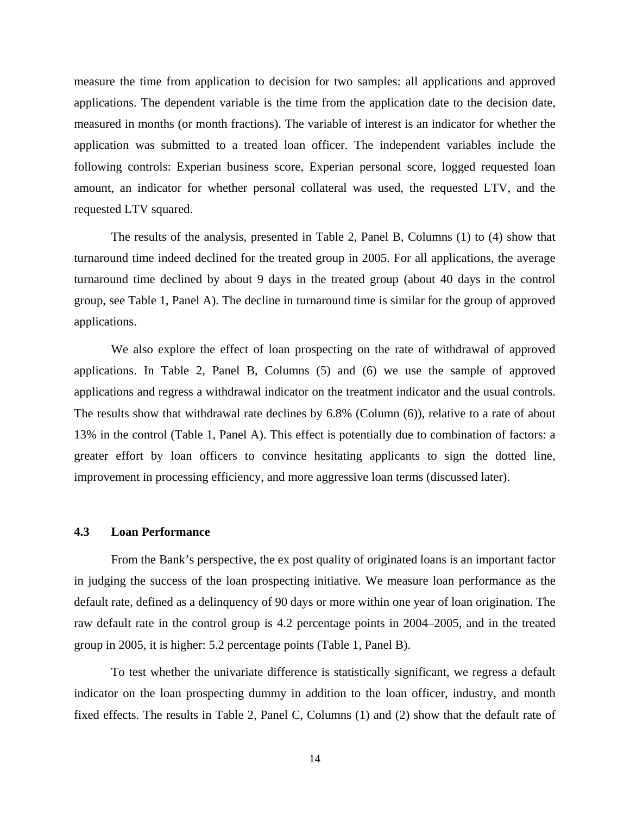measure the time from application to decision for two samples: all applications and approved applications. The dependent variable is the time from the application date to the decision date, measured in months (or month fractions). The variable of interest is an indicator for whether the application was submitted to a treated loan officer. The independent variables include the following controls: Experian business score, Experian personal score, logged requested loan amount, an indicator for whether personal collateral was used, the requested LTV, and the requested LTV squared.

The results of the analysis, presented in Table 2, Panel B, Columns (1) to (4) show that turnaround time indeed declined for the treated group in 2005. For all applications, the average turnaround time declined by about 9 days in the treated group (about 40 days in the control group, see Table 1, Panel A). The decline in turnaround time is similar for the group of approved applications.

We also explore the effect of loan prospecting on the rate of withdrawal of approved applications. In Table 2, Panel B, Columns (5) and (6) we use the sample of approved applications and regress a withdrawal indicator on the treatment indicator and the usual controls. The results show that withdrawal rate declines by 6.8% (Column (6)), relative to a rate of about 13% in the control (Table 1, Panel A). This effect is potentially due to combination of factors: a greater effort by loan officers to convince hesitating applicants to sign the dotted line, improvement in processing efficiency, and more aggressive loan terms (discussed later).

### **4.3 Loan Performance**

From the Bank's perspective, the ex post quality of originated loans is an important factor in judging the success of the loan prospecting initiative. We measure loan performance as the default rate, defined as a delinquency of 90 days or more within one year of loan origination. The raw default rate in the control group is 4.2 percentage points in 2004–2005, and in the treated group in 2005, it is higher: 5.2 percentage points (Table 1, Panel B).

To test whether the univariate difference is statistically significant, we regress a default indicator on the loan prospecting dummy in addition to the loan officer, industry, and month fixed effects. The results in Table 2, Panel C, Columns (1) and (2) show that the default rate of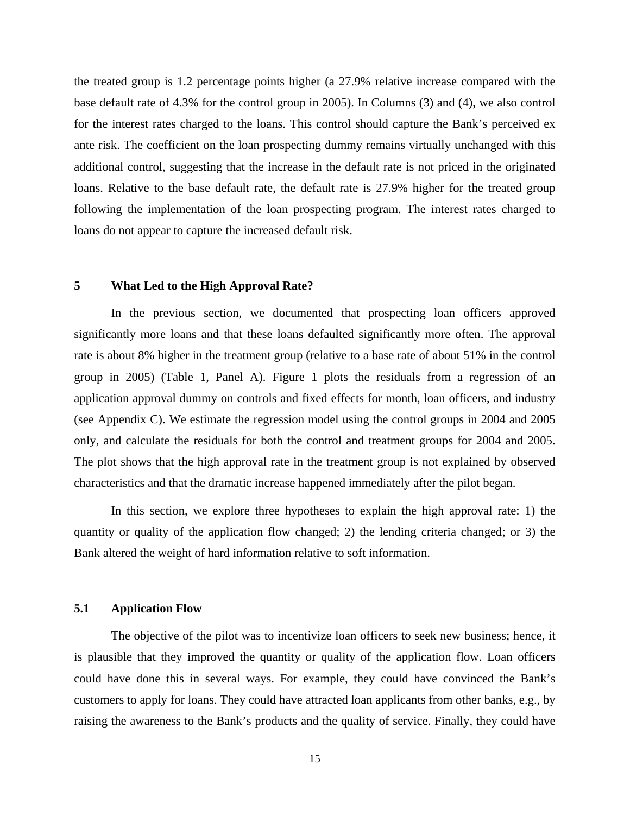the treated group is 1.2 percentage points higher (a 27.9% relative increase compared with the base default rate of 4.3% for the control group in 2005). In Columns (3) and (4), we also control for the interest rates charged to the loans. This control should capture the Bank's perceived ex ante risk. The coefficient on the loan prospecting dummy remains virtually unchanged with this additional control, suggesting that the increase in the default rate is not priced in the originated loans. Relative to the base default rate, the default rate is 27.9% higher for the treated group following the implementation of the loan prospecting program. The interest rates charged to loans do not appear to capture the increased default risk.

### **5 What Led to the High Approval Rate?**

In the previous section, we documented that prospecting loan officers approved significantly more loans and that these loans defaulted significantly more often. The approval rate is about 8% higher in the treatment group (relative to a base rate of about 51% in the control group in 2005) (Table 1, Panel A). Figure 1 plots the residuals from a regression of an application approval dummy on controls and fixed effects for month, loan officers, and industry (see Appendix C). We estimate the regression model using the control groups in 2004 and 2005 only, and calculate the residuals for both the control and treatment groups for 2004 and 2005. The plot shows that the high approval rate in the treatment group is not explained by observed characteristics and that the dramatic increase happened immediately after the pilot began.

In this section, we explore three hypotheses to explain the high approval rate: 1) the quantity or quality of the application flow changed; 2) the lending criteria changed; or 3) the Bank altered the weight of hard information relative to soft information.

### **5.1 Application Flow**

The objective of the pilot was to incentivize loan officers to seek new business; hence, it is plausible that they improved the quantity or quality of the application flow. Loan officers could have done this in several ways. For example, they could have convinced the Bank's customers to apply for loans. They could have attracted loan applicants from other banks, e.g., by raising the awareness to the Bank's products and the quality of service. Finally, they could have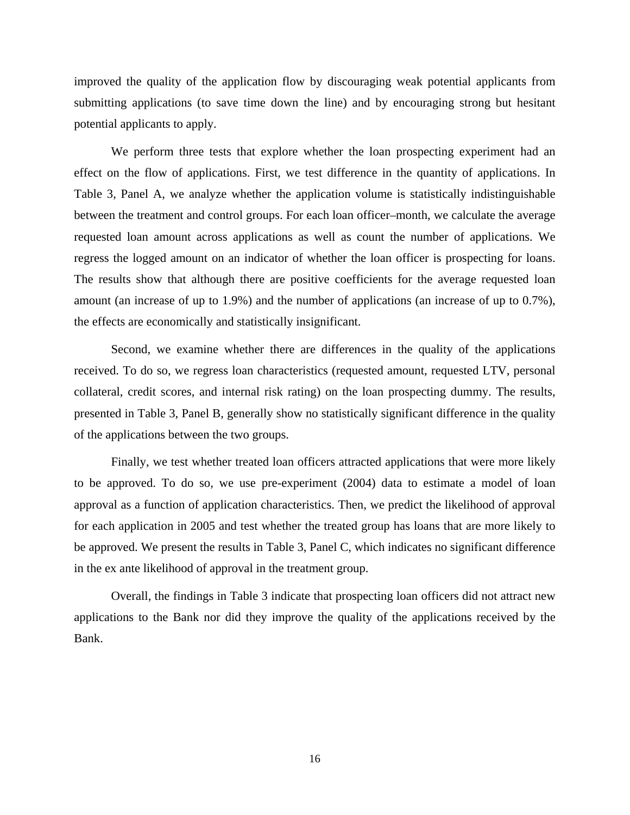improved the quality of the application flow by discouraging weak potential applicants from submitting applications (to save time down the line) and by encouraging strong but hesitant potential applicants to apply.

We perform three tests that explore whether the loan prospecting experiment had an effect on the flow of applications. First, we test difference in the quantity of applications. In Table 3, Panel A, we analyze whether the application volume is statistically indistinguishable between the treatment and control groups. For each loan officer–month, we calculate the average requested loan amount across applications as well as count the number of applications. We regress the logged amount on an indicator of whether the loan officer is prospecting for loans. The results show that although there are positive coefficients for the average requested loan amount (an increase of up to 1.9%) and the number of applications (an increase of up to 0.7%), the effects are economically and statistically insignificant.

Second, we examine whether there are differences in the quality of the applications received. To do so, we regress loan characteristics (requested amount, requested LTV, personal collateral, credit scores, and internal risk rating) on the loan prospecting dummy. The results, presented in Table 3, Panel B, generally show no statistically significant difference in the quality of the applications between the two groups.

Finally, we test whether treated loan officers attracted applications that were more likely to be approved. To do so, we use pre-experiment (2004) data to estimate a model of loan approval as a function of application characteristics. Then, we predict the likelihood of approval for each application in 2005 and test whether the treated group has loans that are more likely to be approved. We present the results in Table 3, Panel C, which indicates no significant difference in the ex ante likelihood of approval in the treatment group.

Overall, the findings in Table 3 indicate that prospecting loan officers did not attract new applications to the Bank nor did they improve the quality of the applications received by the Bank.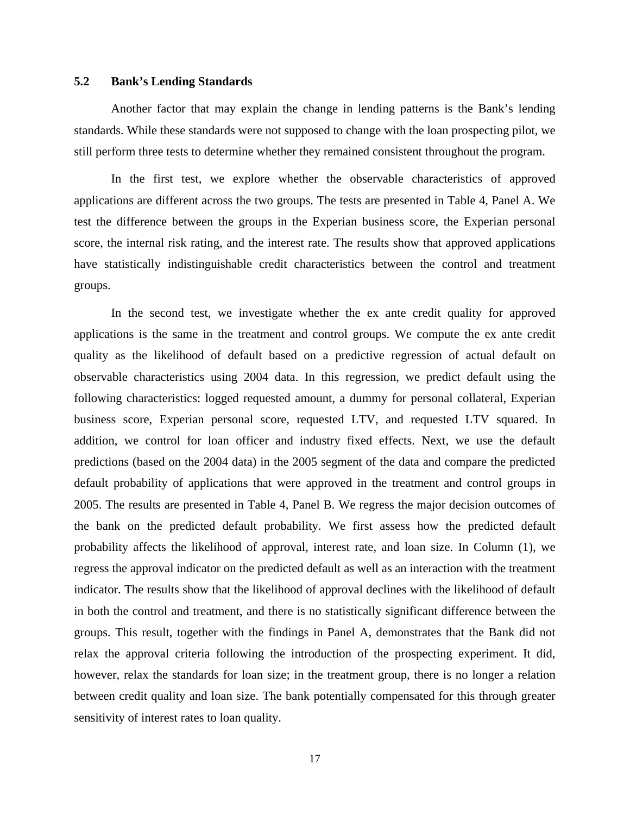### **5.2 Bank's Lending Standards**

Another factor that may explain the change in lending patterns is the Bank's lending standards. While these standards were not supposed to change with the loan prospecting pilot, we still perform three tests to determine whether they remained consistent throughout the program.

In the first test, we explore whether the observable characteristics of approved applications are different across the two groups. The tests are presented in Table 4, Panel A. We test the difference between the groups in the Experian business score, the Experian personal score, the internal risk rating, and the interest rate. The results show that approved applications have statistically indistinguishable credit characteristics between the control and treatment groups.

In the second test, we investigate whether the ex ante credit quality for approved applications is the same in the treatment and control groups. We compute the ex ante credit quality as the likelihood of default based on a predictive regression of actual default on observable characteristics using 2004 data. In this regression, we predict default using the following characteristics: logged requested amount, a dummy for personal collateral, Experian business score, Experian personal score, requested LTV, and requested LTV squared. In addition, we control for loan officer and industry fixed effects. Next, we use the default predictions (based on the 2004 data) in the 2005 segment of the data and compare the predicted default probability of applications that were approved in the treatment and control groups in 2005. The results are presented in Table 4, Panel B. We regress the major decision outcomes of the bank on the predicted default probability. We first assess how the predicted default probability affects the likelihood of approval, interest rate, and loan size. In Column (1), we regress the approval indicator on the predicted default as well as an interaction with the treatment indicator. The results show that the likelihood of approval declines with the likelihood of default in both the control and treatment, and there is no statistically significant difference between the groups. This result, together with the findings in Panel A, demonstrates that the Bank did not relax the approval criteria following the introduction of the prospecting experiment. It did, however, relax the standards for loan size; in the treatment group, there is no longer a relation between credit quality and loan size. The bank potentially compensated for this through greater sensitivity of interest rates to loan quality.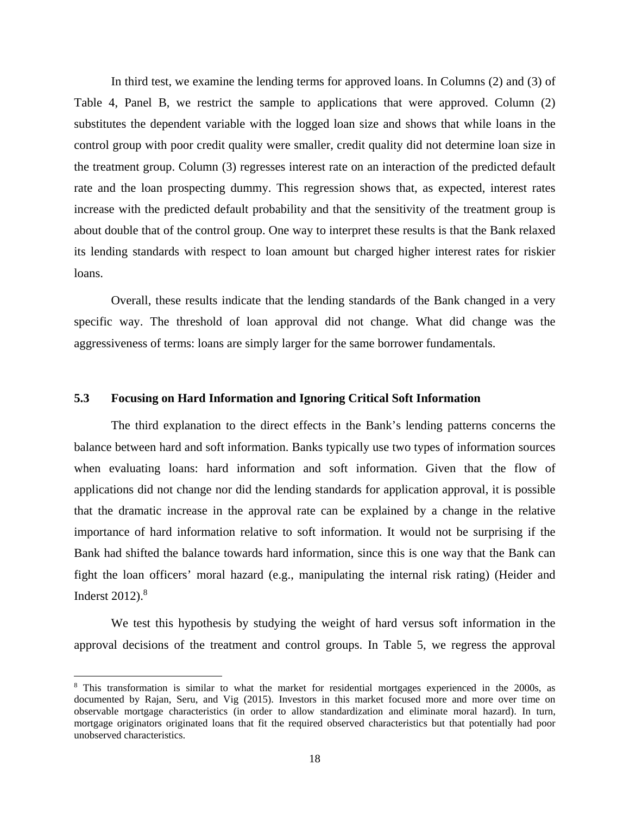In third test, we examine the lending terms for approved loans. In Columns (2) and (3) of Table 4, Panel B, we restrict the sample to applications that were approved. Column (2) substitutes the dependent variable with the logged loan size and shows that while loans in the control group with poor credit quality were smaller, credit quality did not determine loan size in the treatment group. Column (3) regresses interest rate on an interaction of the predicted default rate and the loan prospecting dummy. This regression shows that, as expected, interest rates increase with the predicted default probability and that the sensitivity of the treatment group is about double that of the control group. One way to interpret these results is that the Bank relaxed its lending standards with respect to loan amount but charged higher interest rates for riskier loans.

Overall, these results indicate that the lending standards of the Bank changed in a very specific way. The threshold of loan approval did not change. What did change was the aggressiveness of terms: loans are simply larger for the same borrower fundamentals.

### **5.3 Focusing on Hard Information and Ignoring Critical Soft Information**

The third explanation to the direct effects in the Bank's lending patterns concerns the balance between hard and soft information. Banks typically use two types of information sources when evaluating loans: hard information and soft information. Given that the flow of applications did not change nor did the lending standards for application approval, it is possible that the dramatic increase in the approval rate can be explained by a change in the relative importance of hard information relative to soft information. It would not be surprising if the Bank had shifted the balance towards hard information, since this is one way that the Bank can fight the loan officers' moral hazard (e.g., manipulating the internal risk rating) (Heider and Inderst  $2012$ ). $8$ 

We test this hypothesis by studying the weight of hard versus soft information in the approval decisions of the treatment and control groups. In Table 5, we regress the approval

<sup>&</sup>lt;sup>8</sup> This transformation is similar to what the market for residential mortgages experienced in the 2000s, as documented by Rajan, Seru, and Vig (2015). Investors in this market focused more and more over time on observable mortgage characteristics (in order to allow standardization and eliminate moral hazard). In turn, mortgage originators originated loans that fit the required observed characteristics but that potentially had poor unobserved characteristics.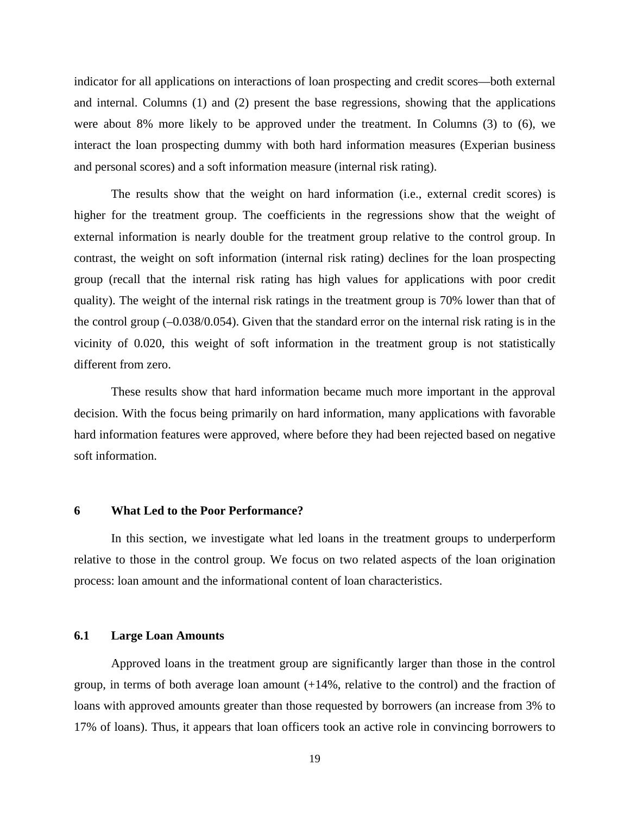indicator for all applications on interactions of loan prospecting and credit scores—both external and internal. Columns (1) and (2) present the base regressions, showing that the applications were about 8% more likely to be approved under the treatment. In Columns (3) to (6), we interact the loan prospecting dummy with both hard information measures (Experian business and personal scores) and a soft information measure (internal risk rating).

The results show that the weight on hard information (i.e., external credit scores) is higher for the treatment group. The coefficients in the regressions show that the weight of external information is nearly double for the treatment group relative to the control group. In contrast, the weight on soft information (internal risk rating) declines for the loan prospecting group (recall that the internal risk rating has high values for applications with poor credit quality). The weight of the internal risk ratings in the treatment group is 70% lower than that of the control group (–0.038/0.054). Given that the standard error on the internal risk rating is in the vicinity of 0.020, this weight of soft information in the treatment group is not statistically different from zero.

These results show that hard information became much more important in the approval decision. With the focus being primarily on hard information, many applications with favorable hard information features were approved, where before they had been rejected based on negative soft information.

### **6 What Led to the Poor Performance?**

In this section, we investigate what led loans in the treatment groups to underperform relative to those in the control group. We focus on two related aspects of the loan origination process: loan amount and the informational content of loan characteristics.

### **6.1 Large Loan Amounts**

Approved loans in the treatment group are significantly larger than those in the control group, in terms of both average loan amount (+14%, relative to the control) and the fraction of loans with approved amounts greater than those requested by borrowers (an increase from 3% to 17% of loans). Thus, it appears that loan officers took an active role in convincing borrowers to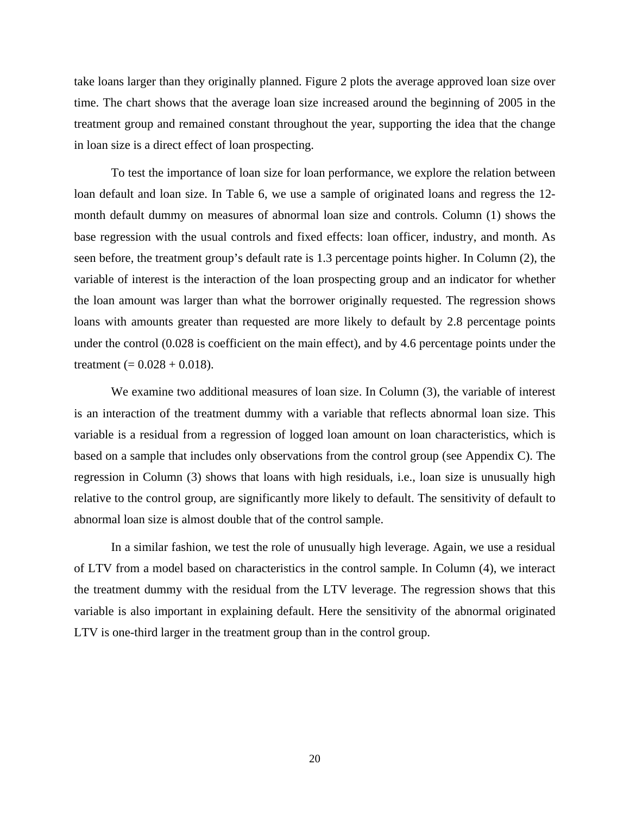take loans larger than they originally planned. Figure 2 plots the average approved loan size over time. The chart shows that the average loan size increased around the beginning of 2005 in the treatment group and remained constant throughout the year, supporting the idea that the change in loan size is a direct effect of loan prospecting.

To test the importance of loan size for loan performance, we explore the relation between loan default and loan size. In Table 6, we use a sample of originated loans and regress the 12 month default dummy on measures of abnormal loan size and controls. Column (1) shows the base regression with the usual controls and fixed effects: loan officer, industry, and month. As seen before, the treatment group's default rate is 1.3 percentage points higher. In Column (2), the variable of interest is the interaction of the loan prospecting group and an indicator for whether the loan amount was larger than what the borrower originally requested. The regression shows loans with amounts greater than requested are more likely to default by 2.8 percentage points under the control (0.028 is coefficient on the main effect), and by 4.6 percentage points under the treatment (=  $0.028 + 0.018$ ).

We examine two additional measures of loan size. In Column (3), the variable of interest is an interaction of the treatment dummy with a variable that reflects abnormal loan size. This variable is a residual from a regression of logged loan amount on loan characteristics, which is based on a sample that includes only observations from the control group (see Appendix C). The regression in Column (3) shows that loans with high residuals, i.e., loan size is unusually high relative to the control group, are significantly more likely to default. The sensitivity of default to abnormal loan size is almost double that of the control sample.

In a similar fashion, we test the role of unusually high leverage. Again, we use a residual of LTV from a model based on characteristics in the control sample. In Column (4), we interact the treatment dummy with the residual from the LTV leverage. The regression shows that this variable is also important in explaining default. Here the sensitivity of the abnormal originated LTV is one-third larger in the treatment group than in the control group.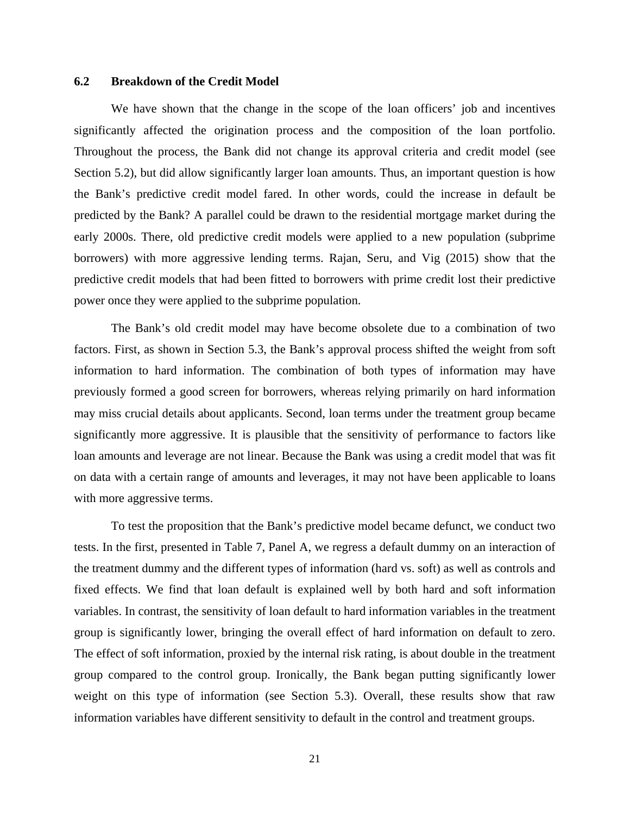### **6.2 Breakdown of the Credit Model**

We have shown that the change in the scope of the loan officers' job and incentives significantly affected the origination process and the composition of the loan portfolio. Throughout the process, the Bank did not change its approval criteria and credit model (see Section 5.2), but did allow significantly larger loan amounts. Thus, an important question is how the Bank's predictive credit model fared. In other words, could the increase in default be predicted by the Bank? A parallel could be drawn to the residential mortgage market during the early 2000s. There, old predictive credit models were applied to a new population (subprime borrowers) with more aggressive lending terms. Rajan, Seru, and Vig (2015) show that the predictive credit models that had been fitted to borrowers with prime credit lost their predictive power once they were applied to the subprime population.

The Bank's old credit model may have become obsolete due to a combination of two factors. First, as shown in Section 5.3, the Bank's approval process shifted the weight from soft information to hard information. The combination of both types of information may have previously formed a good screen for borrowers, whereas relying primarily on hard information may miss crucial details about applicants. Second, loan terms under the treatment group became significantly more aggressive. It is plausible that the sensitivity of performance to factors like loan amounts and leverage are not linear. Because the Bank was using a credit model that was fit on data with a certain range of amounts and leverages, it may not have been applicable to loans with more aggressive terms.

To test the proposition that the Bank's predictive model became defunct, we conduct two tests. In the first, presented in Table 7, Panel A, we regress a default dummy on an interaction of the treatment dummy and the different types of information (hard vs. soft) as well as controls and fixed effects. We find that loan default is explained well by both hard and soft information variables. In contrast, the sensitivity of loan default to hard information variables in the treatment group is significantly lower, bringing the overall effect of hard information on default to zero. The effect of soft information, proxied by the internal risk rating, is about double in the treatment group compared to the control group. Ironically, the Bank began putting significantly lower weight on this type of information (see Section 5.3). Overall, these results show that raw information variables have different sensitivity to default in the control and treatment groups.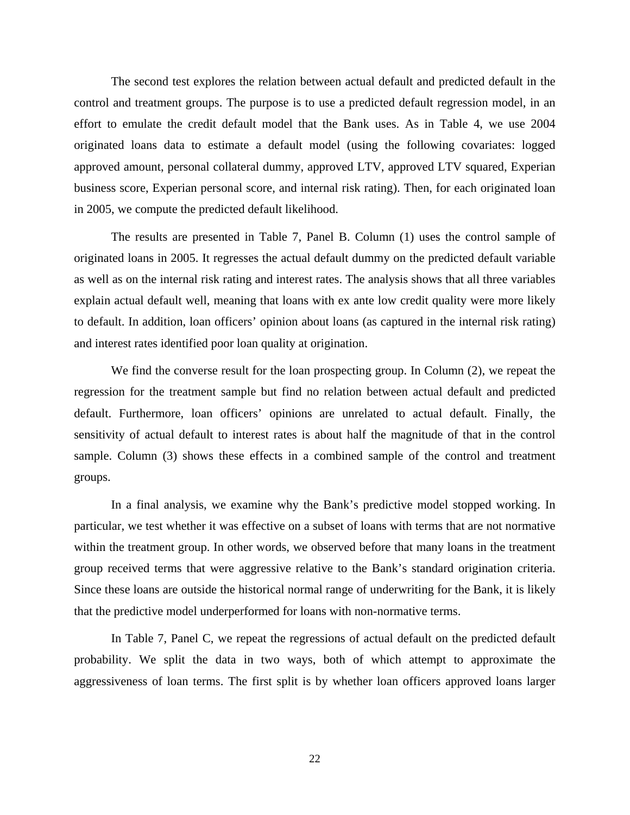The second test explores the relation between actual default and predicted default in the control and treatment groups. The purpose is to use a predicted default regression model, in an effort to emulate the credit default model that the Bank uses. As in Table 4, we use 2004 originated loans data to estimate a default model (using the following covariates: logged approved amount, personal collateral dummy, approved LTV, approved LTV squared, Experian business score, Experian personal score, and internal risk rating). Then, for each originated loan in 2005, we compute the predicted default likelihood.

The results are presented in Table 7, Panel B. Column (1) uses the control sample of originated loans in 2005. It regresses the actual default dummy on the predicted default variable as well as on the internal risk rating and interest rates. The analysis shows that all three variables explain actual default well, meaning that loans with ex ante low credit quality were more likely to default. In addition, loan officers' opinion about loans (as captured in the internal risk rating) and interest rates identified poor loan quality at origination.

We find the converse result for the loan prospecting group. In Column (2), we repeat the regression for the treatment sample but find no relation between actual default and predicted default. Furthermore, loan officers' opinions are unrelated to actual default. Finally, the sensitivity of actual default to interest rates is about half the magnitude of that in the control sample. Column (3) shows these effects in a combined sample of the control and treatment groups.

In a final analysis, we examine why the Bank's predictive model stopped working. In particular, we test whether it was effective on a subset of loans with terms that are not normative within the treatment group. In other words, we observed before that many loans in the treatment group received terms that were aggressive relative to the Bank's standard origination criteria. Since these loans are outside the historical normal range of underwriting for the Bank, it is likely that the predictive model underperformed for loans with non-normative terms.

In Table 7, Panel C, we repeat the regressions of actual default on the predicted default probability. We split the data in two ways, both of which attempt to approximate the aggressiveness of loan terms. The first split is by whether loan officers approved loans larger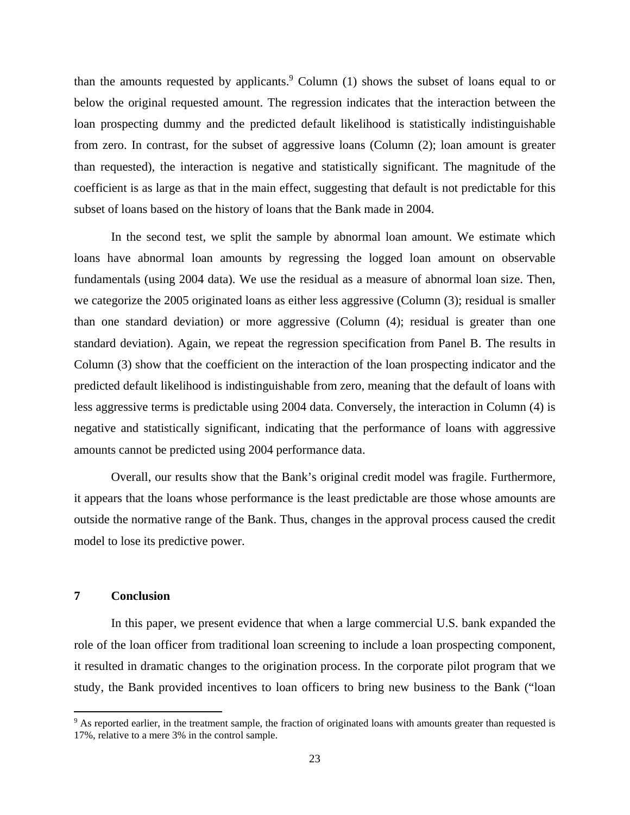than the amounts requested by applicants.<sup>9</sup> Column  $(1)$  shows the subset of loans equal to or below the original requested amount. The regression indicates that the interaction between the loan prospecting dummy and the predicted default likelihood is statistically indistinguishable from zero. In contrast, for the subset of aggressive loans (Column (2); loan amount is greater than requested), the interaction is negative and statistically significant. The magnitude of the coefficient is as large as that in the main effect, suggesting that default is not predictable for this subset of loans based on the history of loans that the Bank made in 2004.

In the second test, we split the sample by abnormal loan amount. We estimate which loans have abnormal loan amounts by regressing the logged loan amount on observable fundamentals (using 2004 data). We use the residual as a measure of abnormal loan size. Then, we categorize the 2005 originated loans as either less aggressive (Column (3); residual is smaller than one standard deviation) or more aggressive (Column (4); residual is greater than one standard deviation). Again, we repeat the regression specification from Panel B. The results in Column (3) show that the coefficient on the interaction of the loan prospecting indicator and the predicted default likelihood is indistinguishable from zero, meaning that the default of loans with less aggressive terms is predictable using 2004 data. Conversely, the interaction in Column (4) is negative and statistically significant, indicating that the performance of loans with aggressive amounts cannot be predicted using 2004 performance data.

Overall, our results show that the Bank's original credit model was fragile. Furthermore, it appears that the loans whose performance is the least predictable are those whose amounts are outside the normative range of the Bank. Thus, changes in the approval process caused the credit model to lose its predictive power.

### **7 Conclusion**

In this paper, we present evidence that when a large commercial U.S. bank expanded the role of the loan officer from traditional loan screening to include a loan prospecting component, it resulted in dramatic changes to the origination process. In the corporate pilot program that we study, the Bank provided incentives to loan officers to bring new business to the Bank ("loan

<sup>&</sup>lt;sup>9</sup> As reported earlier, in the treatment sample, the fraction of originated loans with amounts greater than requested is 17%, relative to a mere 3% in the control sample.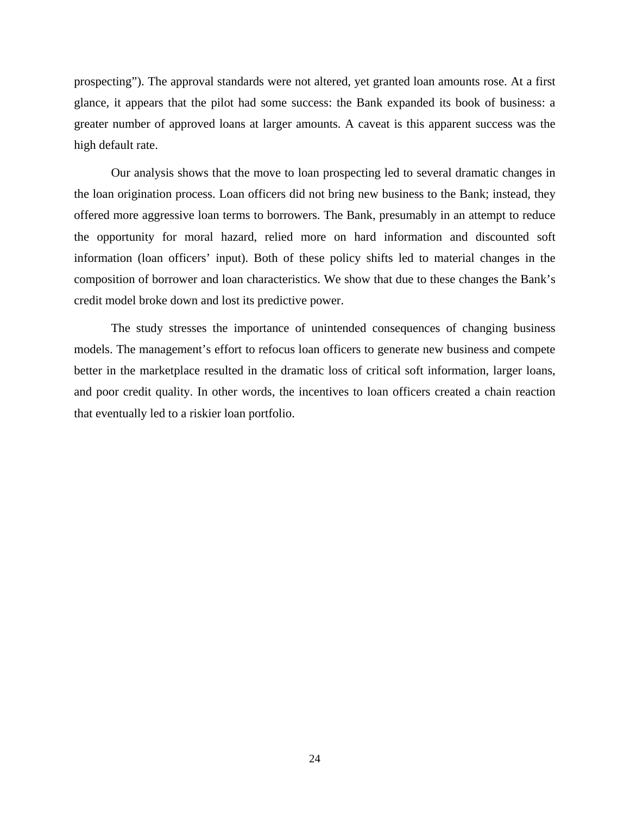prospecting"). The approval standards were not altered, yet granted loan amounts rose. At a first glance, it appears that the pilot had some success: the Bank expanded its book of business: a greater number of approved loans at larger amounts. A caveat is this apparent success was the high default rate.

Our analysis shows that the move to loan prospecting led to several dramatic changes in the loan origination process. Loan officers did not bring new business to the Bank; instead, they offered more aggressive loan terms to borrowers. The Bank, presumably in an attempt to reduce the opportunity for moral hazard, relied more on hard information and discounted soft information (loan officers' input). Both of these policy shifts led to material changes in the composition of borrower and loan characteristics. We show that due to these changes the Bank's credit model broke down and lost its predictive power.

The study stresses the importance of unintended consequences of changing business models. The management's effort to refocus loan officers to generate new business and compete better in the marketplace resulted in the dramatic loss of critical soft information, larger loans, and poor credit quality. In other words, the incentives to loan officers created a chain reaction that eventually led to a riskier loan portfolio.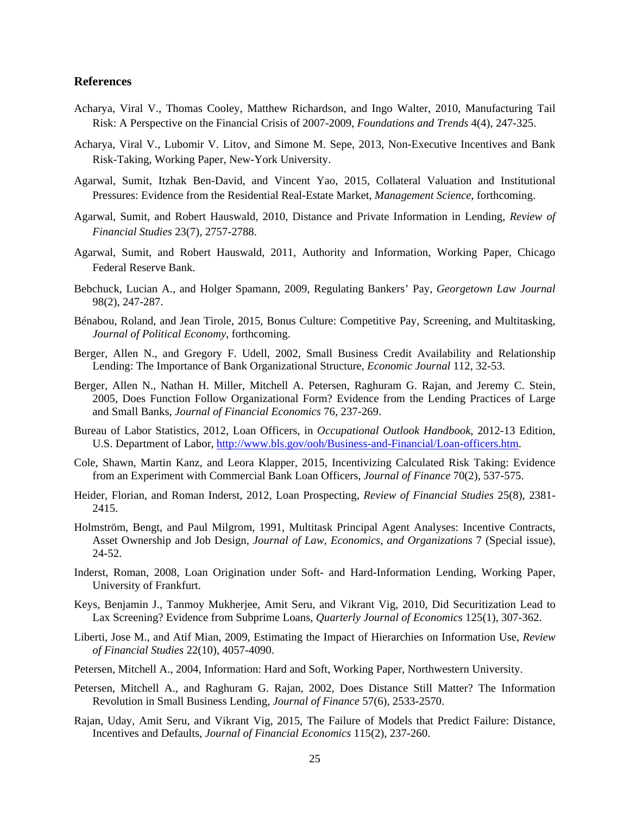#### **References**

- Acharya, Viral V., Thomas Cooley, Matthew Richardson, and Ingo Walter, 2010, Manufacturing Tail Risk: A Perspective on the Financial Crisis of 2007-2009, *Foundations and Trends* 4(4), 247-325.
- Acharya, Viral V., Lubomir V. Litov, and Simone M. Sepe, 2013, Non-Executive Incentives and Bank Risk-Taking, Working Paper, New-York University.
- Agarwal, Sumit, Itzhak Ben-David, and Vincent Yao, 2015, Collateral Valuation and Institutional Pressures: Evidence from the Residential Real-Estate Market, *Management Science*, forthcoming.
- Agarwal, Sumit, and Robert Hauswald, 2010, Distance and Private Information in Lending, *Review of Financial Studies* 23(7), 2757-2788.
- Agarwal, Sumit, and Robert Hauswald, 2011, Authority and Information, Working Paper, Chicago Federal Reserve Bank.
- Bebchuck, Lucian A., and Holger Spamann, 2009, Regulating Bankers' Pay, *Georgetown Law Journal* 98(2), 247-287.
- Bénabou, Roland, and Jean Tirole, 2015, Bonus Culture: Competitive Pay, Screening, and Multitasking, *Journal of Political Economy*, forthcoming.
- Berger, Allen N., and Gregory F. Udell, 2002, Small Business Credit Availability and Relationship Lending: The Importance of Bank Organizational Structure, *Economic Journal* 112, 32-53.
- Berger, Allen N., Nathan H. Miller, Mitchell A. Petersen, Raghuram G. Rajan, and Jeremy C. Stein, 2005, Does Function Follow Organizational Form? Evidence from the Lending Practices of Large and Small Banks, *Journal of Financial Economics* 76, 237-269.
- Bureau of Labor Statistics, 2012, Loan Officers, in *Occupational Outlook Handbook*, 2012-13 Edition, U.S. Department of Labor, http://www.bls.gov/ooh/Business-and-Financial/Loan-officers.htm.
- Cole, Shawn, Martin Kanz, and Leora Klapper, 2015, Incentivizing Calculated Risk Taking: Evidence from an Experiment with Commercial Bank Loan Officers, *Journal of Finance* 70(2), 537-575.
- Heider, Florian, and Roman Inderst, 2012, Loan Prospecting, *Review of Financial Studies* 25(8), 2381- 2415.
- Holmström, Bengt, and Paul Milgrom, 1991, Multitask Principal Agent Analyses: Incentive Contracts, Asset Ownership and Job Design, *Journal of Law, Economics, and Organizations* 7 (Special issue), 24-52.
- Inderst, Roman, 2008, Loan Origination under Soft- and Hard-Information Lending, Working Paper, University of Frankfurt.
- Keys, Benjamin J., Tanmoy Mukherjee, Amit Seru, and Vikrant Vig, 2010, Did Securitization Lead to Lax Screening? Evidence from Subprime Loans, *Quarterly Journal of Economics* 125(1), 307-362.
- Liberti, Jose M., and Atif Mian, 2009, Estimating the Impact of Hierarchies on Information Use, *Review of Financial Studies* 22(10), 4057-4090.
- Petersen, Mitchell A., 2004, Information: Hard and Soft, Working Paper, Northwestern University.
- Petersen, Mitchell A., and Raghuram G. Rajan, 2002, Does Distance Still Matter? The Information Revolution in Small Business Lending, *Journal of Finance* 57(6), 2533-2570.
- Rajan, Uday, Amit Seru, and Vikrant Vig, 2015, The Failure of Models that Predict Failure: Distance, Incentives and Defaults, *Journal of Financial Economics* 115(2), 237-260.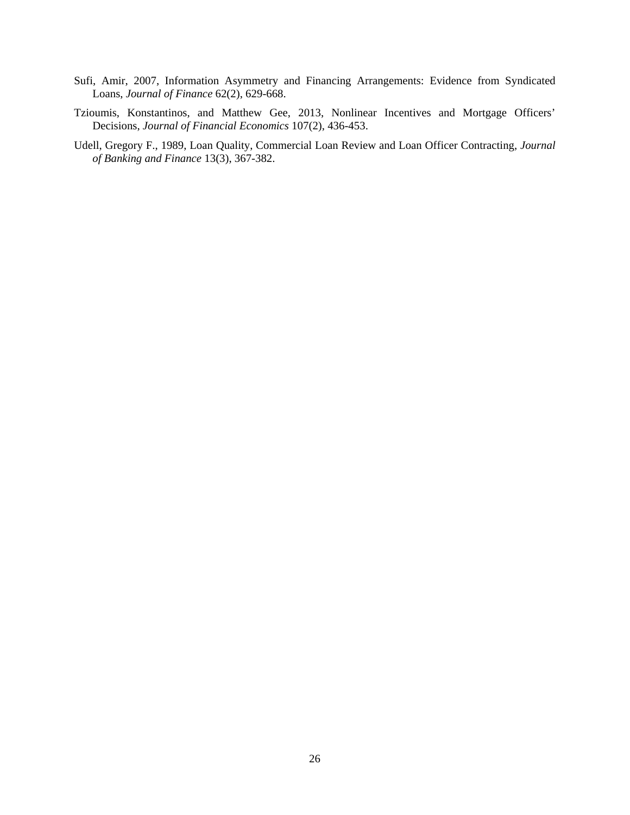- Sufi, Amir, 2007, Information Asymmetry and Financing Arrangements: Evidence from Syndicated Loans, *Journal of Finance* 62(2), 629-668.
- Tzioumis, Konstantinos, and Matthew Gee, 2013, Nonlinear Incentives and Mortgage Officers' Decisions, *Journal of Financial Economics* 107(2), 436-453.
- Udell, Gregory F., 1989, Loan Quality, Commercial Loan Review and Loan Officer Contracting, *Journal of Banking and Finance* 13(3), 367-382.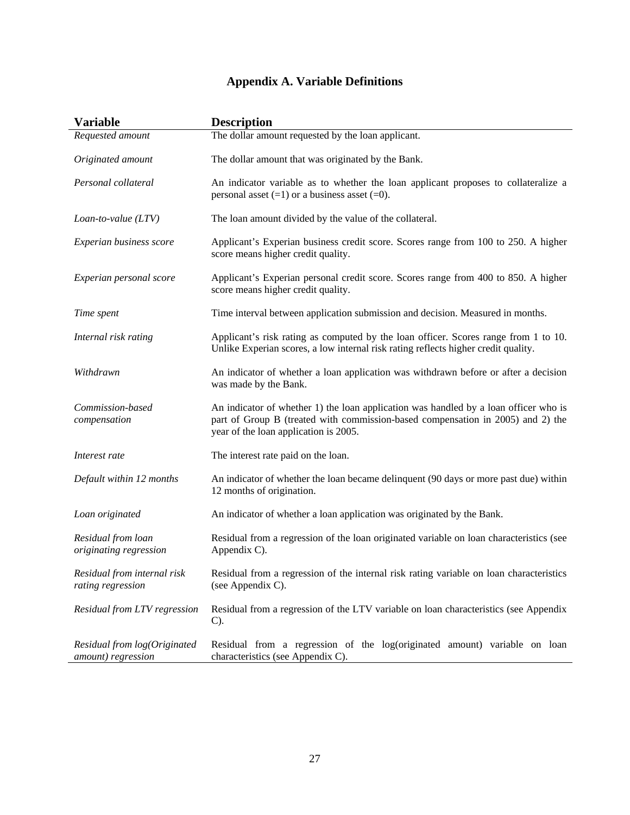## **Appendix A. Variable Definitions**

| <b>Variable</b>                                    | <b>Description</b>                                                                                                                                                                                               |
|----------------------------------------------------|------------------------------------------------------------------------------------------------------------------------------------------------------------------------------------------------------------------|
| Requested amount                                   | The dollar amount requested by the loan applicant.                                                                                                                                                               |
| Originated amount                                  | The dollar amount that was originated by the Bank.                                                                                                                                                               |
| Personal collateral                                | An indicator variable as to whether the loan applicant proposes to collateralize a<br>personal asset $(=1)$ or a business asset $(=0)$ .                                                                         |
| Loan-to-value $(LTV)$                              | The loan amount divided by the value of the collateral.                                                                                                                                                          |
| Experian business score                            | Applicant's Experian business credit score. Scores range from 100 to 250. A higher<br>score means higher credit quality.                                                                                         |
| Experian personal score                            | Applicant's Experian personal credit score. Scores range from 400 to 850. A higher<br>score means higher credit quality.                                                                                         |
| Time spent                                         | Time interval between application submission and decision. Measured in months.                                                                                                                                   |
| Internal risk rating                               | Applicant's risk rating as computed by the loan officer. Scores range from 1 to 10.<br>Unlike Experian scores, a low internal risk rating reflects higher credit quality.                                        |
| Withdrawn                                          | An indicator of whether a loan application was withdrawn before or after a decision<br>was made by the Bank.                                                                                                     |
| Commission-based<br>compensation                   | An indicator of whether 1) the loan application was handled by a loan officer who is<br>part of Group B (treated with commission-based compensation in 2005) and 2) the<br>year of the loan application is 2005. |
| Interest rate                                      | The interest rate paid on the loan.                                                                                                                                                                              |
| Default within 12 months                           | An indicator of whether the loan became delinquent (90 days or more past due) within<br>12 months of origination.                                                                                                |
| Loan originated                                    | An indicator of whether a loan application was originated by the Bank.                                                                                                                                           |
| Residual from loan<br>originating regression       | Residual from a regression of the loan originated variable on loan characteristics (see<br>Appendix C).                                                                                                          |
| Residual from internal risk<br>rating regression   | Residual from a regression of the internal risk rating variable on loan characteristics<br>(see Appendix C).                                                                                                     |
| Residual from LTV regression                       | Residual from a regression of the LTV variable on loan characteristics (see Appendix<br>$C$ ).                                                                                                                   |
| Residual from log(Originated<br>amount) regression | Residual from a regression of the log(originated amount) variable on loan<br>characteristics (see Appendix C).                                                                                                   |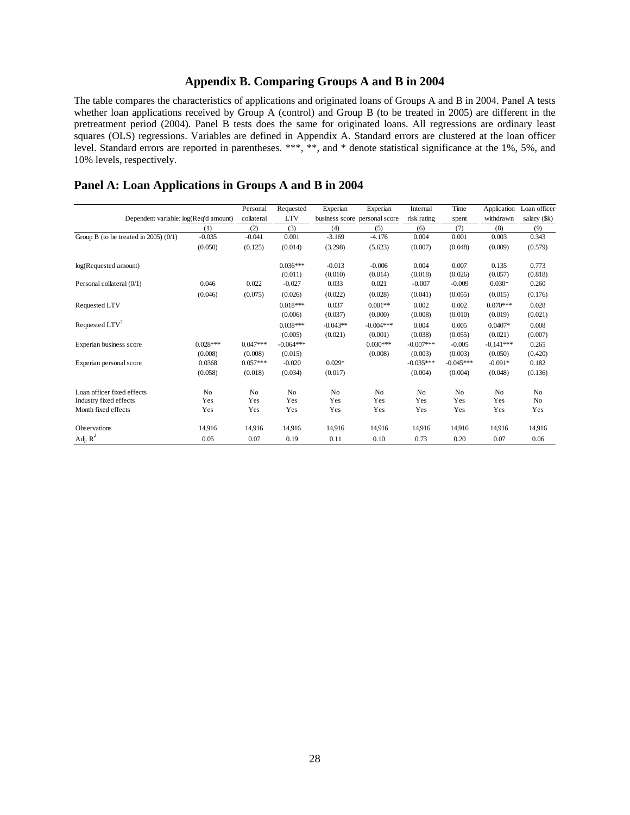### **Appendix B. Comparing Groups A and B in 2004**

The table compares the characteristics of applications and originated loans of Groups A and B in 2004. Panel A tests whether loan applications received by Group A (control) and Group B (to be treated in 2005) are different in the pretreatment period (2004). Panel B tests does the same for originated loans. All regressions are ordinary least squares (OLS) regressions. Variables are defined in Appendix A. Standard errors are clustered at the loan officer level. Standard errors are reported in parentheses. \*\*\*, \*\*, and \* denote statistical significance at the 1%, 5%, and 10% levels, respectively.

## **Panel A: Loan Applications in Groups A and B in 2004**

|                                            |                | Personal   | Requested   | Experian       | Experian       | Internal    | Time        | Application    | Loan officer   |
|--------------------------------------------|----------------|------------|-------------|----------------|----------------|-------------|-------------|----------------|----------------|
| Dependent variable: log(Req'd amount)      |                | collateral | <b>LTV</b>  | business score | personal score | risk rating | spent       | withdrawn      | salary (\$k)   |
|                                            | (1)            | (2)        | (3)         | (4)            | (5)            | (6)         | (7)         | (8)            | (9)            |
| Group B (to be treated in $2005$ ) $(0/1)$ | $-0.035$       | $-0.041$   | 0.001       | $-3.169$       | $-4.176$       | 0.004       | 0.001       | 0.003          | 0.343          |
|                                            | (0.050)        | (0.125)    | (0.014)     | (3.298)        | (5.623)        | (0.007)     | (0.048)     | (0.009)        | (0.579)        |
| log(Requested amount)                      |                |            | $0.036***$  | $-0.013$       | $-0.006$       | 0.004       | 0.007       | 0.135          | 0.773          |
|                                            |                |            | (0.011)     | (0.010)        | (0.014)        | (0.018)     | (0.026)     | (0.057)        | (0.818)        |
| Personal collateral (0/1)                  | 0.046          | 0.022      | $-0.027$    | 0.033          | 0.021          | $-0.007$    | $-0.009$    | $0.030*$       | 0.260          |
|                                            | (0.046)        | (0.075)    | (0.026)     | (0.022)        | (0.028)        | (0.041)     | (0.055)     | (0.015)        | (0.176)        |
| Requested LTV                              |                |            | $0.018***$  | 0.037          | $0.001**$      | 0.002       | 0.002       | $0.070***$     | 0.028          |
|                                            |                |            | (0.006)     | (0.037)        | (0.000)        | (0.008)     | (0.010)     | (0.019)        | (0.021)        |
| Requested $LTV2$                           |                |            | $0.038***$  | $-0.043**$     | $-0.004***$    | 0.004       | 0.005       | $0.0407*$      | 0.008          |
|                                            |                |            | (0.005)     | (0.021)        | (0.001)        | (0.038)     | (0.055)     | (0.021)        | (0.007)        |
| Experian business score                    | $0.028***$     | $0.047***$ | $-0.064***$ |                | $0.030***$     | $-0.007***$ | $-0.005$    | $-0.141***$    | 0.265          |
|                                            | (0.008)        | (0.008)    | (0.015)     |                | (0.008)        | (0.003)     | (0.003)     | (0.050)        | (0.420)        |
| Experian personal score                    | 0.0368         | $0.057***$ | $-0.020$    | $0.029*$       |                | $-0.035***$ | $-0.045***$ | $-0.091*$      | 0.182          |
|                                            | (0.058)        | (0.018)    | (0.034)     | (0.017)        |                | (0.004)     | (0.004)     | (0.048)        | (0.136)        |
| Loan officer fixed effects                 | N <sub>o</sub> | No         | No          | N <sub>o</sub> | N <sub>o</sub> | No          | No          | N <sub>o</sub> | No             |
| Industry fixed effects                     | Yes            | Yes        | Yes         | Yes            | Yes            | Yes         | Yes         | Yes            | N <sub>o</sub> |
| Month fixed effects                        | Yes            | Yes        | Yes         | Yes            | Yes            | Yes         | Yes         | Yes            | Yes            |
| <b>Observations</b>                        | 14,916         | 14,916     | 14,916      | 14,916         | 14,916         | 14,916      | 14,916      | 14,916         | 14,916         |
| Adj. $R^2$                                 | 0.05           | 0.07       | 0.19        | 0.11           | 0.10           | 0.73        | 0.20        | 0.07           | 0.06           |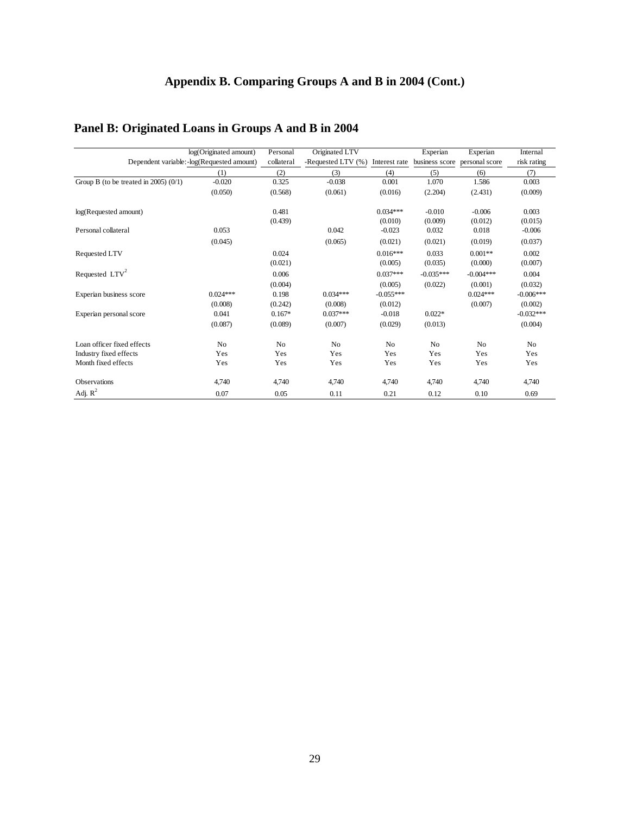## **Appendix B. Comparing Groups A and B in 2004 (Cont.)**

## **Panel B: Originated Loans in Groups A and B in 2004**

|                                          | log(Originated amount)                      | Personal            | Originated LTV        |                       | Experian               | Experian               | Internal               |
|------------------------------------------|---------------------------------------------|---------------------|-----------------------|-----------------------|------------------------|------------------------|------------------------|
|                                          | Dependent variable: - log(Requested amount) | collateral          | -Requested LTV (%)    | Interest rate         | business score         | personal score         | risk rating            |
|                                          | (1)                                         | (2)                 | (3)                   | (4)                   | (5)                    | (6)                    | (7)                    |
| Group B (to be treated in $2005$ ) (0/1) | $-0.020$                                    | 0.325               | $-0.038$              | 0.001                 | 1.070                  | 1.586                  | 0.003                  |
|                                          | (0.050)                                     | (0.568)             | (0.061)               | (0.016)               | (2.204)                | (2.431)                | (0.009)                |
| log(Requested amount)                    |                                             | 0.481<br>(0.439)    |                       | $0.034***$<br>(0.010) | $-0.010$<br>(0.009)    | $-0.006$<br>(0.012)    | 0.003<br>(0.015)       |
| Personal collateral                      | 0.053                                       |                     | 0.042                 | $-0.023$              | 0.032                  | 0.018                  | $-0.006$               |
|                                          | (0.045)                                     |                     | (0.065)               | (0.021)               | (0.021)                | (0.019)                | (0.037)                |
| Requested LTV                            |                                             | 0.024<br>(0.021)    |                       | $0.016***$<br>(0.005) | 0.033<br>(0.035)       | $0.001**$<br>(0.000)   | 0.002<br>(0.007)       |
| Requested LTV <sup>2</sup>               |                                             | 0.006<br>(0.004)    |                       | $0.037***$<br>(0.005) | $-0.035***$<br>(0.022) | $-0.004***$<br>(0.001) | 0.004<br>(0.032)       |
| Experian business score                  | $0.024***$                                  | 0.198               | $0.034***$            | $-0.055***$           |                        | $0.024***$             | $-0.006***$            |
| Experian personal score                  | (0.008)<br>0.041                            | (0.242)<br>$0.167*$ | (0.008)<br>$0.037***$ | (0.012)<br>$-0.018$   | $0.022*$               | (0.007)                | (0.002)<br>$-0.032***$ |
|                                          | (0.087)                                     | (0.089)             | (0.007)               | (0.029)               | (0.013)                |                        | (0.004)                |
| Loan officer fixed effects               | N <sub>o</sub>                              | N <sub>o</sub>      | N <sub>o</sub>        | N <sub>o</sub>        | N <sub>o</sub>         | N <sub>o</sub>         | N <sub>o</sub>         |
| Industry fixed effects                   | Yes                                         | Yes                 | Yes                   | Yes                   | Yes                    | Yes                    | Yes                    |
| Month fixed effects                      | Yes                                         | Yes                 | Yes                   | Yes                   | Yes                    | Yes                    | Yes                    |
| Observations                             | 4,740                                       | 4,740               | 4,740                 | 4,740                 | 4,740                  | 4,740                  | 4,740                  |
| Adj. $R^2$                               | 0.07                                        | 0.05                | 0.11                  | 0.21                  | 0.12                   | 0.10                   | 0.69                   |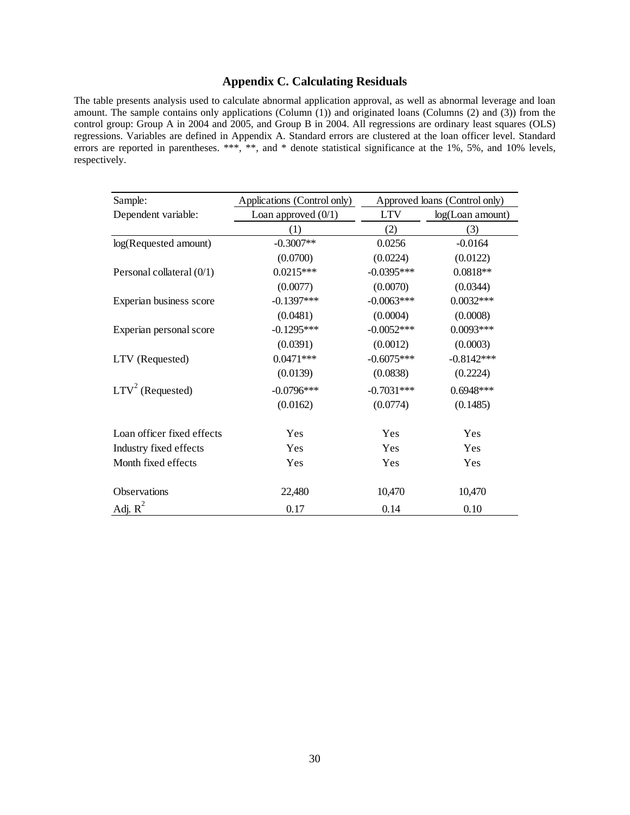### **Appendix C. Calculating Residuals**

The table presents analysis used to calculate abnormal application approval, as well as abnormal leverage and loan amount. The sample contains only applications (Column (1)) and originated loans (Columns (2) and (3)) from the control group: Group A in 2004 and 2005, and Group B in 2004. All regressions are ordinary least squares (OLS) regressions. Variables are defined in Appendix A. Standard errors are clustered at the loan officer level. Standard errors are reported in parentheses. \*\*\*, \*\*, and \* denote statistical significance at the 1%, 5%, and 10% levels, respectively.

| Sample:                    | Applications (Control only) |              | Approved loans (Control only) |
|----------------------------|-----------------------------|--------------|-------------------------------|
| Dependent variable:        | Loan approved $(0/1)$       | <b>LTV</b>   | log(Loan amount)              |
|                            | (1)                         | (2)          | (3)                           |
| log(Requested amount)      | $-0.3007**$                 | 0.0256       | $-0.0164$                     |
|                            | (0.0700)                    | (0.0224)     | (0.0122)                      |
| Personal collateral (0/1)  | $0.0215***$                 | $-0.0395***$ | $0.0818**$                    |
|                            | (0.0077)                    | (0.0070)     | (0.0344)                      |
| Experian business score    | $-0.1397***$                | $-0.0063***$ | $0.0032***$                   |
|                            | (0.0481)                    | (0.0004)     | (0.0008)                      |
| Experian personal score    | $-0.1295***$                | $-0.0052***$ | $0.0093***$                   |
|                            | (0.0391)                    | (0.0012)     | (0.0003)                      |
| LTV (Requested)            | $0.0471***$                 | $-0.6075***$ | $-0.8142***$                  |
|                            | (0.0139)                    | (0.0838)     | (0.2224)                      |
| $LTV2$ (Requested)         | $-0.0796***$                | $-0.7031***$ | $0.6948***$                   |
|                            | (0.0162)                    | (0.0774)     | (0.1485)                      |
| Loan officer fixed effects | Yes                         | Yes          | Yes                           |
| Industry fixed effects     | Yes                         | Yes          | Yes                           |
| Month fixed effects        | Yes                         | Yes          | Yes                           |
| Observations               | 22,480                      | 10,470       | 10,470                        |
| Adj. $R^2$                 | 0.17                        | 0.14         | 0.10                          |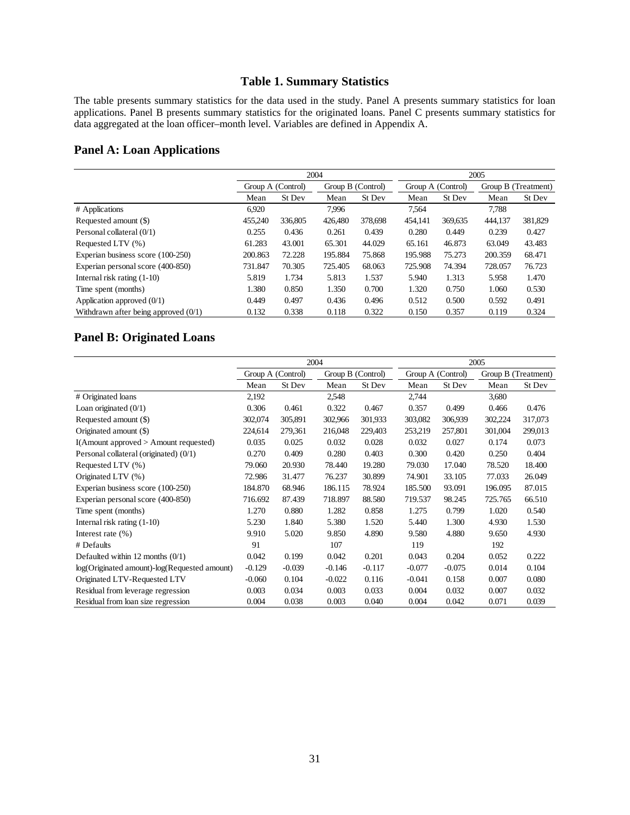## **Table 1. Summary Statistics**

The table presents summary statistics for the data used in the study. Panel A presents summary statistics for loan applications. Panel B presents summary statistics for the originated loans. Panel C presents summary statistics for data aggregated at the loan officer–month level. Variables are defined in Appendix A.

### **Panel A: Loan Applications**

|                                        |         | 2004              |         |                   |         | 2005              |         |                     |  |
|----------------------------------------|---------|-------------------|---------|-------------------|---------|-------------------|---------|---------------------|--|
|                                        |         | Group A (Control) |         | Group B (Control) |         | Group A (Control) |         | Group B (Treatment) |  |
|                                        | Mean    | St Dev            | Mean    | St Dev            | Mean    | St Dev            | Mean    | St Dev              |  |
| # Applications                         | 6,920   |                   | 7.996   |                   | 7.564   |                   | 7.788   |                     |  |
| Requested amount (\$)                  | 455,240 | 336,805           | 426,480 | 378,698           | 454.141 | 369,635           | 444,137 | 381,829             |  |
| Personal collateral (0/1)              | 0.255   | 0.436             | 0.261   | 0.439             | 0.280   | 0.449             | 0.239   | 0.427               |  |
| Requested LTV (%)                      | 61.283  | 43.001            | 65.301  | 44.029            | 65.161  | 46.873            | 63.049  | 43.483              |  |
| Experian business score (100-250)      | 200.863 | 72.228            | 195.884 | 75.868            | 195.988 | 75.273            | 200.359 | 68.471              |  |
| Experian personal score (400-850)      | 731.847 | 70.305            | 725.405 | 68.063            | 725.908 | 74.394            | 728.057 | 76.723              |  |
| Internal risk rating $(1-10)$          | 5.819   | 1.734             | 5.813   | 1.537             | 5.940   | 1.313             | 5.958   | 1.470               |  |
| Time spent (months)                    | 1.380   | 0.850             | 1.350   | 0.700             | 1.320   | 0.750             | 1.060   | 0.530               |  |
| Application approved $(0/1)$           | 0.449   | 0.497             | 0.436   | 0.496             | 0.512   | 0.500             | 0.592   | 0.491               |  |
| Withdrawn after being approved $(0/1)$ | 0.132   | 0.338             | 0.118   | 0.322             | 0.150   | 0.357             | 0.119   | 0.324               |  |

## **Panel B: Originated Loans**

|                                              | 2004              |          |          |                   | 2005     |                   |         |                     |
|----------------------------------------------|-------------------|----------|----------|-------------------|----------|-------------------|---------|---------------------|
|                                              | Group A (Control) |          |          | Group B (Control) |          | Group A (Control) |         | Group B (Treatment) |
|                                              | Mean              | St Dev   | Mean     | St Dev            | Mean     | St Dev            | Mean    | St Dev              |
| # Originated loans                           | 2,192             |          | 2,548    |                   | 2,744    |                   | 3,680   |                     |
| Loan originated $(0/1)$                      | 0.306             | 0.461    | 0.322    | 0.467             | 0.357    | 0.499             | 0.466   | 0.476               |
| Requested amount (\$)                        | 302,074           | 305,891  | 302,966  | 301,933           | 303,082  | 306,939           | 302,224 | 317,073             |
| Originated amount (\$)                       | 224,614           | 279,361  | 216,048  | 229,403           | 253,219  | 257,801           | 301,004 | 299,013             |
| $I(A$ mount approved $> A$ mount requested)  | 0.035             | 0.025    | 0.032    | 0.028             | 0.032    | 0.027             | 0.174   | 0.073               |
| Personal collateral (originated) (0/1)       | 0.270             | 0.409    | 0.280    | 0.403             | 0.300    | 0.420             | 0.250   | 0.404               |
| Requested LTV (%)                            | 79.060            | 20.930   | 78.440   | 19.280            | 79.030   | 17.040            | 78.520  | 18.400              |
| Originated LTV (%)                           | 72.986            | 31.477   | 76.237   | 30.899            | 74.901   | 33.105            | 77.033  | 26.049              |
| Experian business score (100-250)            | 184.870           | 68.946   | 186.115  | 78.924            | 185.500  | 93.091            | 196.095 | 87.015              |
| Experian personal score (400-850)            | 716.692           | 87.439   | 718.897  | 88.580            | 719.537  | 98.245            | 725.765 | 66.510              |
| Time spent (months)                          | 1.270             | 0.880    | 1.282    | 0.858             | 1.275    | 0.799             | 1.020   | 0.540               |
| Internal risk rating $(1-10)$                | 5.230             | 1.840    | 5.380    | 1.520             | 5.440    | 1.300             | 4.930   | 1.530               |
| Interest rate $(\% )$                        | 9.910             | 5.020    | 9.850    | 4.890             | 9.580    | 4.880             | 9.650   | 4.930               |
| # Defaults                                   | 91                |          | 107      |                   | 119      |                   | 192     |                     |
| Defaulted within 12 months $(0/1)$           | 0.042             | 0.199    | 0.042    | 0.201             | 0.043    | 0.204             | 0.052   | 0.222               |
| log(Originated amount)-log(Requested amount) | $-0.129$          | $-0.039$ | $-0.146$ | $-0.117$          | $-0.077$ | $-0.075$          | 0.014   | 0.104               |
| Originated LTV-Requested LTV                 | $-0.060$          | 0.104    | $-0.022$ | 0.116             | $-0.041$ | 0.158             | 0.007   | 0.080               |
| Residual from leverage regression            | 0.003             | 0.034    | 0.003    | 0.033             | 0.004    | 0.032             | 0.007   | 0.032               |
| Residual from loan size regression           | 0.004             | 0.038    | 0.003    | 0.040             | 0.004    | 0.042             | 0.071   | 0.039               |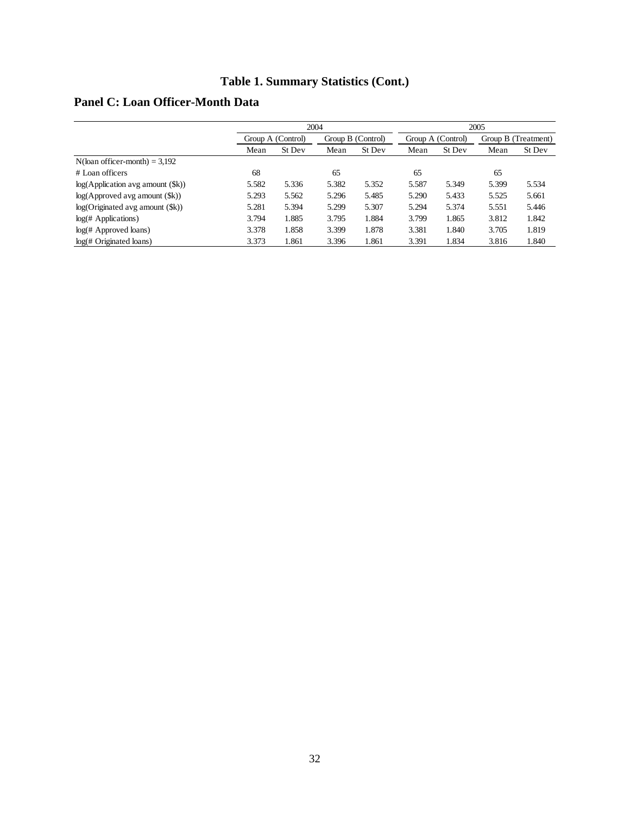## **Table 1. Summary Statistics (Cont.)**

## **Panel C: Loan Officer-Month Data**

|                                             |       | 2004              |       |                   |       | 2005              |       |                     |  |
|---------------------------------------------|-------|-------------------|-------|-------------------|-------|-------------------|-------|---------------------|--|
|                                             |       | Group A (Control) |       | Group B (Control) |       | Group A (Control) |       | Group B (Treatment) |  |
|                                             | Mean  | St Dev            | Mean  | St Dev            | Mean  | St Dev            | Mean  | St Dev              |  |
| $N$ (loan officer-month) = 3,192            |       |                   |       |                   |       |                   |       |                     |  |
| $#$ Loan officers                           | 68    |                   | 65    |                   | 65    |                   | 65    |                     |  |
| log(Application avg amount (\$k))           | 5.582 | 5.336             | 5.382 | 5.352             | 5.587 | 5.349             | 5.399 | 5.534               |  |
| $log(A$ pproved avg amount $(\frac{e}{2k})$ | 5.293 | 5.562             | 5.296 | 5.485             | 5.290 | 5.433             | 5.525 | 5.661               |  |
| log(Originaled avg amount (\$k))            | 5.281 | 5.394             | 5.299 | 5.307             | 5.294 | 5.374             | 5.551 | 5.446               |  |
| log( <i>#</i> Applications)                 | 3.794 | 1.885             | 3.795 | 1.884             | 3.799 | 1.865             | 3.812 | 1.842               |  |
| $log(\# \text{Approved loans})$             | 3.378 | 1.858             | 3.399 | 1.878             | 3.381 | 1.840             | 3.705 | 1.819               |  |
| log( <i>#</i> Originaled loans)             | 3.373 | 1.861             | 3.396 | 1.861             | 3.391 | 1.834             | 3.816 | 1.840               |  |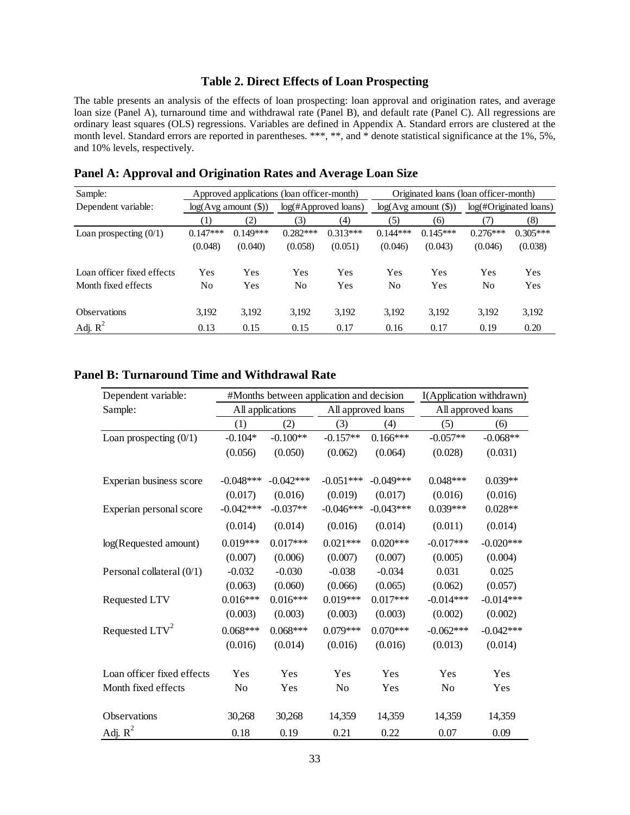### **Table 2. Direct Effects of Loan Prospecting**

The table presents an analysis of the effects of loan prospecting: loan approval and origination rates, and average loan size (Panel A), turnaround time and withdrawal rate (Panel B), and default rate (Panel C). All regressions are ordinary least squares (OLS) regressions. Variables are defined in Appendix A. Standard errors are clustered at the month level. Standard errors are reported in parentheses. \*\*\*, \*\*, and \* denote statistical significance at the 1%, 5%, and 10% levels, respectively.

| Sample:                    |            |                          | Approved applications (loan officer-month) |                         |                      |            | Originated loans (loan officer-month) |            |
|----------------------------|------------|--------------------------|--------------------------------------------|-------------------------|----------------------|------------|---------------------------------------|------------|
| Dependent variable:        |            | $log(Avg$ amount $(\$))$ |                                            | $log(\#Approved loans)$ | log(Avg amount (\$)) |            | log(#Originated loans)                |            |
|                            | (1)        | (2)                      | (3)                                        | (4)                     | (5)                  | (6)        | (7)                                   | (8)        |
| Loan prospecting $(0/1)$   | $0.147***$ | $0.149***$               | $0.282***$                                 | $0.313***$              | $0.144***$           | $0.145***$ | $0.276***$                            | $0.305***$ |
|                            | (0.048)    | (0.040)                  | (0.058)                                    | (0.051)                 | (0.046)              | (0.043)    | (0.046)                               | (0.038)    |
| Loan officer fixed effects | Yes        | Yes                      | Yes                                        | Yes                     | Yes                  | Yes        | Yes                                   | Yes        |
| Month fixed effects        | No         | Yes                      | No.                                        | Yes                     | No                   | Yes        | N <sub>0</sub>                        | Yes        |
| <b>Observations</b>        | 3,192      | 3,192                    | 3,192                                      | 3,192                   | 3,192                | 3,192      | 3,192                                 | 3,192      |
| Adj. $R^2$                 | 0.13       | 0.15                     | 0.15                                       | 0.17                    | 0.16                 | 0.17       | 0.19                                  | 0.20       |

**Panel A: Approval and Origination Rates and Average Loan Size** 

## **Panel B: Turnaround Time and Withdrawal Rate**

| Dependent variable:        |             |                  | #Months between application and decision |             | I(Application withdrawn) |                    |  |  |
|----------------------------|-------------|------------------|------------------------------------------|-------------|--------------------------|--------------------|--|--|
| Sample:                    |             | All applications | All approved loans                       |             |                          | All approved loans |  |  |
|                            | (1)         | (2)              | (3)                                      | (4)         | (5)                      | (6)                |  |  |
| Loan prospecting $(0/1)$   | $-0.104*$   | $-0.100**$       | $-0.157**$                               | $0.166***$  | $-0.057**$               | $-0.068**$         |  |  |
|                            | (0.056)     | (0.050)          | (0.062)                                  | (0.064)     | (0.028)                  | (0.031)            |  |  |
| Experian business score    | $-0.048***$ | $-0.042***$      | $-0.051***$                              | $-0.049***$ | $0.048***$               | $0.039**$          |  |  |
|                            | (0.017)     | (0.016)          | (0.019)                                  | (0.017)     | (0.016)                  | (0.016)            |  |  |
| Experian personal score    | $-0.042***$ | $-0.037**$       | $-0.046***$                              | $-0.043***$ | $0.039***$               | $0.028**$          |  |  |
|                            | (0.014)     | (0.014)          | (0.016)                                  | (0.014)     | (0.011)                  | (0.014)            |  |  |
| log(Requested amount)      | $0.019***$  | $0.017***$       | $0.021***$                               | $0.020***$  | $-0.017***$              | $-0.020***$        |  |  |
|                            | (0.007)     | (0.006)          | (0.007)                                  | (0.007)     | (0.005)                  | (0.004)            |  |  |
| Personal collateral (0/1)  | $-0.032$    | $-0.030$         | $-0.038$                                 | $-0.034$    | 0.031                    | 0.025              |  |  |
|                            | (0.063)     | (0.060)          | (0.066)                                  | (0.065)     | (0.062)                  | (0.057)            |  |  |
| Requested LTV              | $0.016***$  | $0.016***$       | $0.019***$                               | $0.017***$  | $-0.014***$              | $-0.014***$        |  |  |
|                            | (0.003)     | (0.003)          | (0.003)                                  | (0.003)     | (0.002)                  | (0.002)            |  |  |
| Requested LTV <sup>2</sup> | $0.068***$  | $0.068***$       | $0.079***$                               | $0.070***$  | $-0.062***$              | $-0.042***$        |  |  |
|                            | (0.016)     | (0.014)          | (0.016)                                  | (0.016)     | (0.013)                  | (0.014)            |  |  |
| Loan officer fixed effects | Yes         | Yes              | Yes                                      | Yes         | Yes                      | Yes                |  |  |
| Month fixed effects        | No          | Yes              | No                                       | Yes         | No                       | Yes                |  |  |
| Observations               | 30,268      | 30,268           | 14,359                                   | 14,359      | 14,359                   | 14,359             |  |  |
| Adj. $R^2$                 | 0.18        | 0.19             | 0.21                                     | 0.22        | 0.07                     | 0.09               |  |  |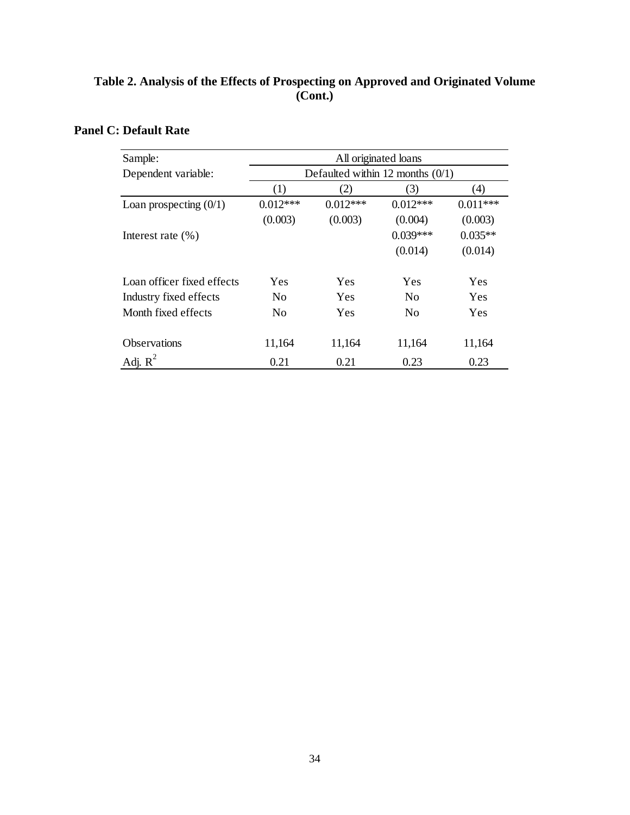## **Table 2. Analysis of the Effects of Prospecting on Approved and Originated Volume (Cont.)**

# **Panel C: Default Rate**

| Sample:                    | All originated loans |                                    |                |            |  |  |  |  |  |
|----------------------------|----------------------|------------------------------------|----------------|------------|--|--|--|--|--|
| Dependent variable:        |                      | Defaulted within 12 months $(0/1)$ |                |            |  |  |  |  |  |
|                            | (1)                  | (2)                                | (3)            | (4)        |  |  |  |  |  |
| Loan prospecting $(0/1)$   | $0.012***$           | $0.012***$                         | $0.012***$     | $0.011***$ |  |  |  |  |  |
|                            | (0.003)              | (0.003)                            | (0.004)        | (0.003)    |  |  |  |  |  |
| Interest rate $(\% )$      |                      |                                    | $0.039***$     | $0.035**$  |  |  |  |  |  |
|                            |                      |                                    | (0.014)        | (0.014)    |  |  |  |  |  |
| Loan officer fixed effects | Yes                  | Yes                                | Yes            | Yes        |  |  |  |  |  |
| Industry fixed effects     | N <sub>0</sub>       | Yes                                | N <sub>0</sub> | Yes        |  |  |  |  |  |
| Month fixed effects        | N <sub>0</sub>       | Yes                                | N <sub>0</sub> | Yes        |  |  |  |  |  |
| <b>Observations</b>        | 11,164               | 11,164                             | 11,164         | 11,164     |  |  |  |  |  |
| Adj. $R^2$                 | 0.21                 | 0.21                               | 0.23           | 0.23       |  |  |  |  |  |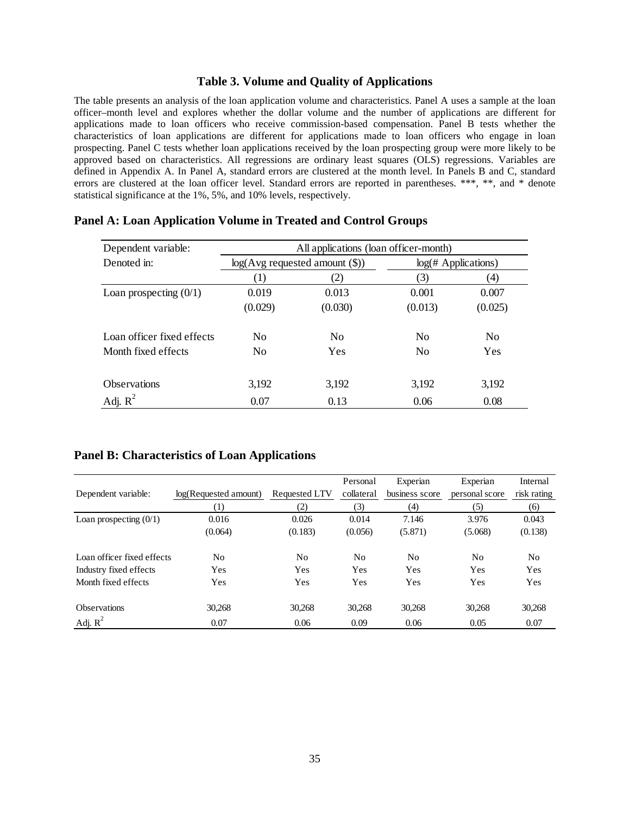#### **Table 3. Volume and Quality of Applications**

The table presents an analysis of the loan application volume and characteristics. Panel A uses a sample at the loan officer–month level and explores whether the dollar volume and the number of applications are different for applications made to loan officers who receive commission-based compensation. Panel B tests whether the characteristics of loan applications are different for applications made to loan officers who engage in loan prospecting. Panel C tests whether loan applications received by the loan prospecting group were more likely to be approved based on characteristics. All regressions are ordinary least squares (OLS) regressions. Variables are defined in Appendix A. In Panel A, standard errors are clustered at the month level. In Panels B and C, standard errors are clustered at the loan officer level. Standard errors are reported in parentheses. \*\*\*, \*\*, and \* denote statistical significance at the 1%, 5%, and 10% levels, respectively.

| Dependent variable:        | All applications (loan officer-month) |                                    |                               |                |  |  |  |  |  |
|----------------------------|---------------------------------------|------------------------------------|-------------------------------|----------------|--|--|--|--|--|
| Denoted in:                |                                       | $log(Avg$ requested amount $(\$))$ | $log(\# \text{Applications})$ |                |  |  |  |  |  |
|                            | (1)                                   | 2)                                 | (3)                           | (4)            |  |  |  |  |  |
| Loan prospecting $(0/1)$   | 0.019                                 | 0.013                              | 0.001                         | 0.007          |  |  |  |  |  |
|                            | (0.029)                               | (0.030)                            | (0.013)                       | (0.025)        |  |  |  |  |  |
| Loan officer fixed effects | N <sub>0</sub>                        | N <sub>0</sub>                     | N <sub>0</sub>                | N <sub>o</sub> |  |  |  |  |  |
| Month fixed effects        | N <sub>0</sub>                        | Yes                                | N <sub>0</sub>                | Yes            |  |  |  |  |  |
| <b>Observations</b>        | 3,192                                 | 3,192                              | 3,192                         | 3,192          |  |  |  |  |  |
| Adj. $R^2$                 | 0.07                                  | 0.13                               | 0.06                          | 0.08           |  |  |  |  |  |

### **Panel A: Loan Application Volume in Treated and Control Groups**

#### **Panel B: Characteristics of Loan Applications**

|                            |                       |                | Personal       | Experian       | Experian       | Internal    |
|----------------------------|-----------------------|----------------|----------------|----------------|----------------|-------------|
| Dependent variable:        | log(Requested amount) | Requested LTV  | collateral     | business score | personal score | risk rating |
|                            | $\left(1\right)$      | (2)            | (3)            | (4)            | (5)            | (6)         |
| Loan prospecting $(0/1)$   | 0.016                 | 0.026          | 0.014          | 7.146          | 3.976          | 0.043       |
|                            | (0.064)               | (0.183)        | (0.056)        | (5.871)        | (5.068)        | (0.138)     |
| Loan officer fixed effects | No                    | N <sub>0</sub> | N <sub>0</sub> | No             | N <sub>0</sub> | No          |
| Industry fixed effects     | Yes                   | Yes            | Yes            | Yes            | Yes            | Yes         |
| Month fixed effects        | Yes                   | Yes            | Yes            | Yes            | Yes            | Yes         |
| <b>Observations</b>        | 30,268                | 30,268         | 30,268         | 30,268         | 30,268         | 30,268      |
| Adj. $R^2$                 | 0.07                  | 0.06           | 0.09           | 0.06           | 0.05           | 0.07        |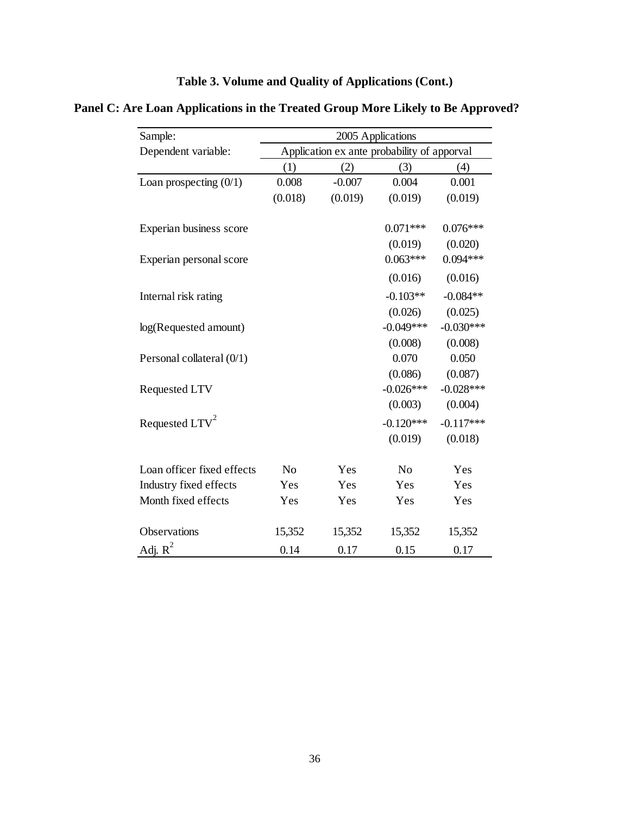| Table 3. Volume and Quality of Applications (Cont.) |
|-----------------------------------------------------|
|-----------------------------------------------------|

**Panel C: Are Loan Applications in the Treated Group More Likely to Be Approved?** 

| Sample:                    | 2005 Applications                           |          |                |             |  |  |
|----------------------------|---------------------------------------------|----------|----------------|-------------|--|--|
| Dependent variable:        | Application ex ante probability of apporval |          |                |             |  |  |
|                            | (1)                                         | (2)      | (3)            | (4)         |  |  |
| Loan prospecting $(0/1)$   | 0.008                                       | $-0.007$ | 0.004          | 0.001       |  |  |
|                            | (0.018)                                     | (0.019)  | (0.019)        | (0.019)     |  |  |
| Experian business score    |                                             |          | $0.071***$     | $0.076***$  |  |  |
|                            |                                             |          | (0.019)        | (0.020)     |  |  |
| Experian personal score    |                                             |          | $0.063***$     | $0.094***$  |  |  |
|                            |                                             |          | (0.016)        | (0.016)     |  |  |
| Internal risk rating       |                                             |          | $-0.103**$     | $-0.084**$  |  |  |
|                            |                                             |          | (0.026)        | (0.025)     |  |  |
| log(Requested amount)      |                                             |          | $-0.049***$    | $-0.030***$ |  |  |
|                            |                                             |          | (0.008)        | (0.008)     |  |  |
| Personal collateral (0/1)  |                                             |          | 0.070          | 0.050       |  |  |
|                            |                                             |          | (0.086)        | (0.087)     |  |  |
| Requested LTV              |                                             |          | $-0.026***$    | $-0.028***$ |  |  |
|                            |                                             |          | (0.003)        | (0.004)     |  |  |
| Requested LTV <sup>2</sup> |                                             |          | $-0.120***$    | $-0.117***$ |  |  |
|                            |                                             |          | (0.019)        | (0.018)     |  |  |
| Loan officer fixed effects | N <sub>o</sub>                              | Yes      | N <sub>o</sub> | Yes         |  |  |
| Industry fixed effects     | Yes                                         | Yes      | Yes            | Yes         |  |  |
| Month fixed effects        | Yes                                         | Yes      | Yes            | Yes         |  |  |
|                            |                                             |          |                |             |  |  |
| Observations               | 15,352                                      | 15,352   | 15,352         | 15,352      |  |  |
| Adj. $R^2$                 | 0.14                                        | 0.17     | 0.15           | 0.17        |  |  |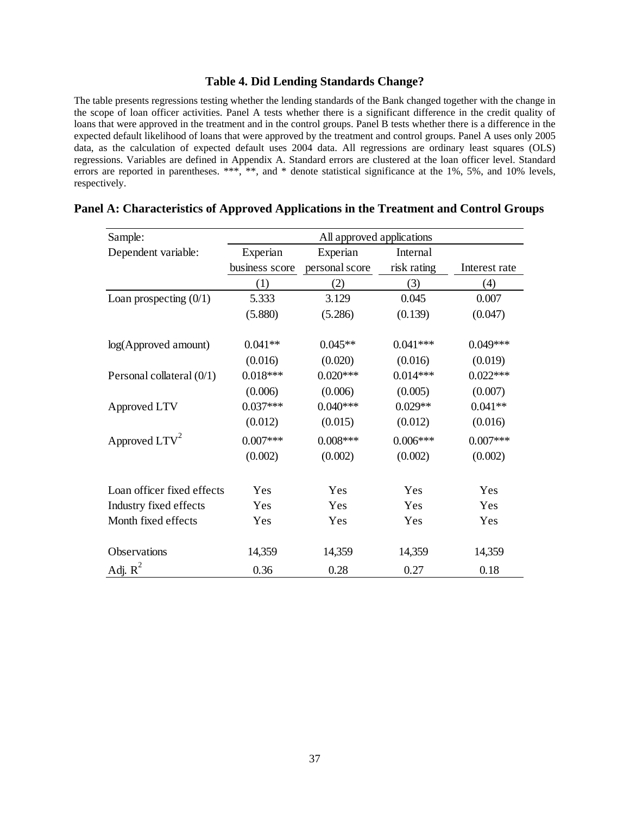### **Table 4. Did Lending Standards Change?**

The table presents regressions testing whether the lending standards of the Bank changed together with the change in the scope of loan officer activities. Panel A tests whether there is a significant difference in the credit quality of loans that were approved in the treatment and in the control groups. Panel B tests whether there is a difference in the expected default likelihood of loans that were approved by the treatment and control groups. Panel A uses only 2005 data, as the calculation of expected default uses 2004 data. All regressions are ordinary least squares (OLS) regressions. Variables are defined in Appendix A. Standard errors are clustered at the loan officer level. Standard errors are reported in parentheses. \*\*\*, \*\*, and \* denote statistical significance at the 1%, 5%, and 10% levels, respectively.

| Sample:                     | All approved applications |                |             |               |  |
|-----------------------------|---------------------------|----------------|-------------|---------------|--|
| Dependent variable:         | Experian                  | Experian       | Internal    |               |  |
|                             | business score            | personal score | risk rating | Interest rate |  |
|                             | (1)                       | (2)            | (3)         | (4)           |  |
| Loan prospecting $(0/1)$    | 5.333                     | 3.129          | 0.045       | 0.007         |  |
|                             | (5.880)                   | (5.286)        | (0.139)     | (0.047)       |  |
|                             |                           |                |             |               |  |
| log(Approved amount)        | $0.041**$                 | $0.045**$      | $0.041***$  | $0.049***$    |  |
|                             | (0.016)                   | (0.020)        | (0.016)     | (0.019)       |  |
| Personal collateral $(0/1)$ | $0.018***$                | $0.020***$     | $0.014***$  | $0.022***$    |  |
|                             | (0.006)                   | (0.006)        | (0.005)     | (0.007)       |  |
| Approved LTV                | $0.037***$                | $0.040***$     | $0.029**$   | $0.041**$     |  |
|                             | (0.012)                   | (0.015)        | (0.012)     | (0.016)       |  |
| Approved $LTV^2$            | $0.007***$                | $0.008***$     | $0.006***$  | $0.007***$    |  |
|                             | (0.002)                   | (0.002)        | (0.002)     | (0.002)       |  |
| Loan officer fixed effects  | Yes                       | Yes            | Yes         | Yes           |  |
|                             |                           |                |             |               |  |
| Industry fixed effects      | Yes                       | Yes            | Yes         | Yes           |  |
| Month fixed effects         | Yes                       | Yes            | Yes         | Yes           |  |
| Observations                | 14,359                    | 14,359         | 14,359      | 14,359        |  |
| Adj. $R^2$                  | 0.36                      | 0.28           | 0.27        | 0.18          |  |

#### **Panel A: Characteristics of Approved Applications in the Treatment and Control Groups**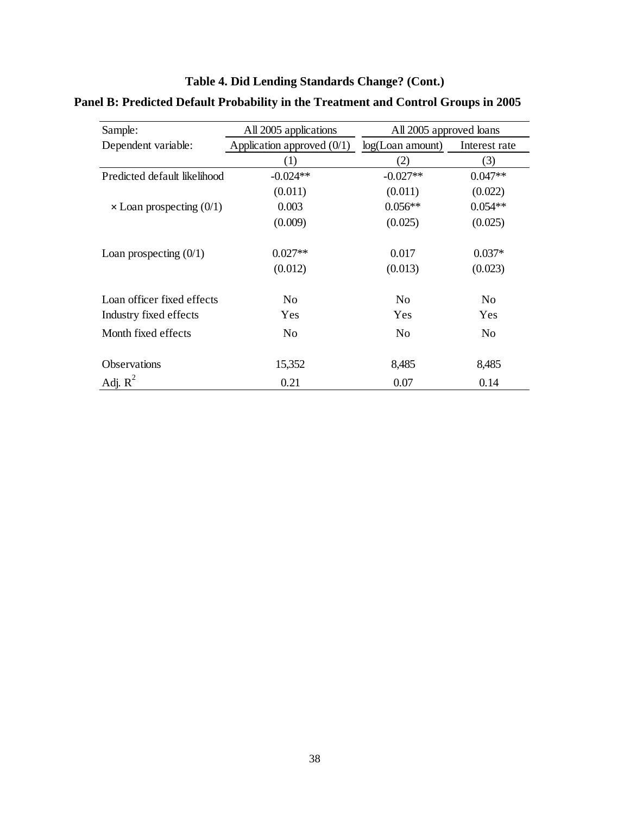| Sample:                         | All 2005 applications        | All 2005 approved loans |                |  |
|---------------------------------|------------------------------|-------------------------|----------------|--|
| Dependent variable:             | Application approved $(0/1)$ | $log($ Loan amount $)$  | Interest rate  |  |
|                                 | (1)                          | (2)                     | (3)            |  |
| Predicted default likelihood    | $-0.024**$                   | $-0.027**$              | $0.047**$      |  |
|                                 | (0.011)                      | (0.011)                 | (0.022)        |  |
| $\times$ Loan prospecting (0/1) | 0.003                        | $0.056**$               | $0.054**$      |  |
|                                 | (0.009)                      | (0.025)                 | (0.025)        |  |
| Loan prospecting $(0/1)$        | $0.027**$                    | 0.017                   | $0.037*$       |  |
|                                 | (0.012)                      | (0.013)                 | (0.023)        |  |
| Loan officer fixed effects      | N <sub>0</sub>               | N <sub>0</sub>          | N <sub>0</sub> |  |
| Industry fixed effects          | Yes                          | Yes                     | Yes            |  |
| Month fixed effects             | N <sub>0</sub>               | N <sub>0</sub>          | No             |  |
| <b>Observations</b>             | 15,352                       | 8,485                   | 8,485          |  |
| Adj. $R^2$                      | 0.21                         | 0.07                    | 0.14           |  |

# **Table 4. Did Lending Standards Change? (Cont.) Panel B: Predicted Default Probability in the Treatment and Control Groups in 2005**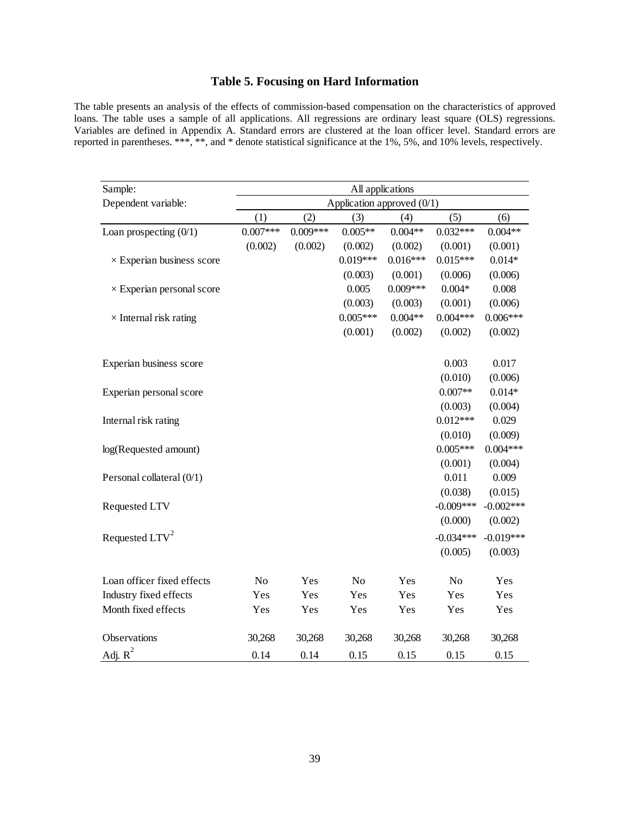## **Table 5. Focusing on Hard Information**

The table presents an analysis of the effects of commission-based compensation on the characteristics of approved loans. The table uses a sample of all applications. All regressions are ordinary least square (OLS) regressions. Variables are defined in Appendix A. Standard errors are clustered at the loan officer level. Standard errors are reported in parentheses. \*\*\*, \*\*, and \* denote statistical significance at the 1%, 5%, and 10% levels, respectively.

| Sample:                          | All applications             |            |                |            |                |             |
|----------------------------------|------------------------------|------------|----------------|------------|----------------|-------------|
| Dependent variable:              | Application approved $(0/1)$ |            |                |            |                |             |
|                                  | (1)                          | (2)        | (3)            | (4)        | (5)            | (6)         |
| Loan prospecting $(0/1)$         | $0.007***$                   | $0.009***$ | $0.005**$      | $0.004**$  | $0.032***$     | $0.004**$   |
|                                  | (0.002)                      | (0.002)    | (0.002)        | (0.002)    | (0.001)        | (0.001)     |
| $\times$ Experian business score |                              |            | $0.019***$     | $0.016***$ | $0.015***$     | $0.014*$    |
|                                  |                              |            | (0.003)        | (0.001)    | (0.006)        | (0.006)     |
| $\times$ Experian personal score |                              |            | 0.005          | $0.009***$ | $0.004*$       | 0.008       |
|                                  |                              |            | (0.003)        | (0.003)    | (0.001)        | (0.006)     |
| $\times$ Internal risk rating    |                              |            | $0.005***$     | $0.004**$  | $0.004***$     | $0.006***$  |
|                                  |                              |            | (0.001)        | (0.002)    | (0.002)        | (0.002)     |
| Experian business score          |                              |            |                |            | 0.003          | 0.017       |
|                                  |                              |            |                |            | (0.010)        | (0.006)     |
| Experian personal score          |                              |            |                |            | $0.007**$      | $0.014*$    |
|                                  |                              |            |                |            | (0.003)        | (0.004)     |
| Internal risk rating             |                              |            |                |            | $0.012***$     | 0.029       |
|                                  |                              |            |                |            | (0.010)        | (0.009)     |
| log(Requested amount)            |                              |            |                |            | $0.005***$     | $0.004***$  |
|                                  |                              |            |                |            | (0.001)        | (0.004)     |
| Personal collateral (0/1)        |                              |            |                |            | 0.011          | 0.009       |
|                                  |                              |            |                |            | (0.038)        | (0.015)     |
| Requested LTV                    |                              |            |                |            | $-0.009***$    | $-0.002***$ |
|                                  |                              |            |                |            | (0.000)        | (0.002)     |
| Requested LTV <sup>2</sup>       |                              |            |                |            | $-0.034***$    | $-0.019***$ |
|                                  |                              |            |                |            | (0.005)        | (0.003)     |
| Loan officer fixed effects       | N <sub>o</sub>               | Yes        | N <sub>o</sub> | Yes        | N <sub>o</sub> | Yes         |
| Industry fixed effects           | Yes                          | Yes        | Yes            | Yes        | Yes            | Yes         |
| Month fixed effects              | Yes                          | Yes        | Yes            | Yes        | Yes            | Yes         |
| Observations                     | 30,268                       | 30,268     | 30,268         | 30,268     | 30,268         | 30,268      |
| Adj. $R^2$                       | 0.14                         | 0.14       | 0.15           | 0.15       | 0.15           | 0.15        |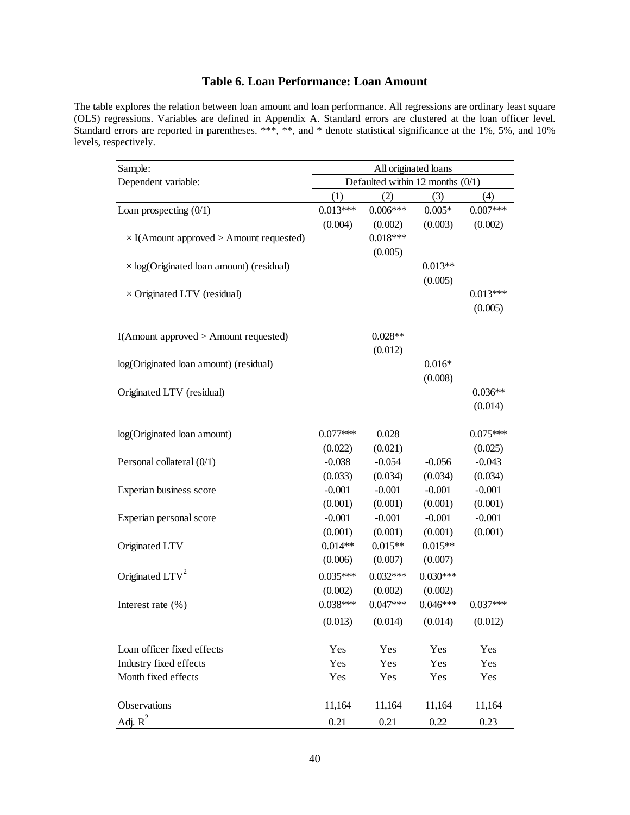## **Table 6. Loan Performance: Loan Amount**

The table explores the relation between loan amount and loan performance. All regressions are ordinary least square (OLS) regressions. Variables are defined in Appendix A. Standard errors are clustered at the loan officer level. Standard errors are reported in parentheses. \*\*\*, \*\*, and \* denote statistical significance at the 1%, 5%, and 10% levels, respectively.

| Sample:                                         | All originated loans               |            |            |            |  |  |
|-------------------------------------------------|------------------------------------|------------|------------|------------|--|--|
| Dependent variable:                             | Defaulted within 12 months $(0/1)$ |            |            |            |  |  |
|                                                 | (1)                                | (2)        | (3)        | (4)        |  |  |
| Loan prospecting $(0/1)$                        | $0.013***$                         | $0.006***$ | $0.005*$   | $0.007***$ |  |  |
|                                                 | (0.004)                            | (0.002)    | (0.003)    | (0.002)    |  |  |
| $\times$ I(Amount approved > Amount requested)  |                                    | $0.018***$ |            |            |  |  |
|                                                 |                                    | (0.005)    |            |            |  |  |
| $\times$ log(Originated loan amount) (residual) |                                    |            | $0.013**$  |            |  |  |
|                                                 |                                    |            | (0.005)    |            |  |  |
| $\times$ Originated LTV (residual)              |                                    |            |            | $0.013***$ |  |  |
|                                                 |                                    |            |            | (0.005)    |  |  |
|                                                 |                                    |            |            |            |  |  |
| I(Amount approved > Amount requested)           |                                    | $0.028**$  |            |            |  |  |
|                                                 |                                    | (0.012)    |            |            |  |  |
| log(Originated loan amount) (residual)          |                                    |            | $0.016*$   |            |  |  |
|                                                 |                                    |            | (0.008)    |            |  |  |
| Originated LTV (residual)                       |                                    |            |            | $0.036**$  |  |  |
|                                                 |                                    |            |            | (0.014)    |  |  |
| log(Originated loan amount)                     | $0.077***$                         | 0.028      |            | $0.075***$ |  |  |
|                                                 | (0.022)                            | (0.021)    |            | (0.025)    |  |  |
| Personal collateral (0/1)                       | $-0.038$                           | $-0.054$   | $-0.056$   | $-0.043$   |  |  |
|                                                 | (0.033)                            | (0.034)    | (0.034)    | (0.034)    |  |  |
| Experian business score                         | $-0.001$                           | $-0.001$   | $-0.001$   | $-0.001$   |  |  |
|                                                 | (0.001)                            | (0.001)    | (0.001)    | (0.001)    |  |  |
| Experian personal score                         | $-0.001$                           | $-0.001$   | $-0.001$   | $-0.001$   |  |  |
|                                                 | (0.001)                            | (0.001)    | (0.001)    | (0.001)    |  |  |
| Originated LTV                                  | $0.014**$                          | $0.015**$  | $0.015**$  |            |  |  |
|                                                 | (0.006)                            | (0.007)    | (0.007)    |            |  |  |
| Originated $LTV2$                               | $0.035***$                         | $0.032***$ | $0.030***$ |            |  |  |
|                                                 | (0.002)                            | (0.002)    | (0.002)    |            |  |  |
| Interest rate $(\% )$                           | $0.038***$                         | $0.047***$ | $0.046***$ | $0.037***$ |  |  |
|                                                 | (0.013)                            | (0.014)    | (0.014)    | (0.012)    |  |  |
|                                                 |                                    |            |            |            |  |  |
| Loan officer fixed effects                      | Yes                                | Yes        | Yes        | Yes        |  |  |
| Industry fixed effects                          | Yes                                | Yes        | Yes        | Yes        |  |  |
| Month fixed effects                             | Yes                                | Yes        | Yes        | Yes        |  |  |
| Observations                                    | 11,164                             | 11,164     | 11,164     | 11,164     |  |  |
| Adj. $R^2$                                      | 0.21                               | 0.21       | 0.22       | 0.23       |  |  |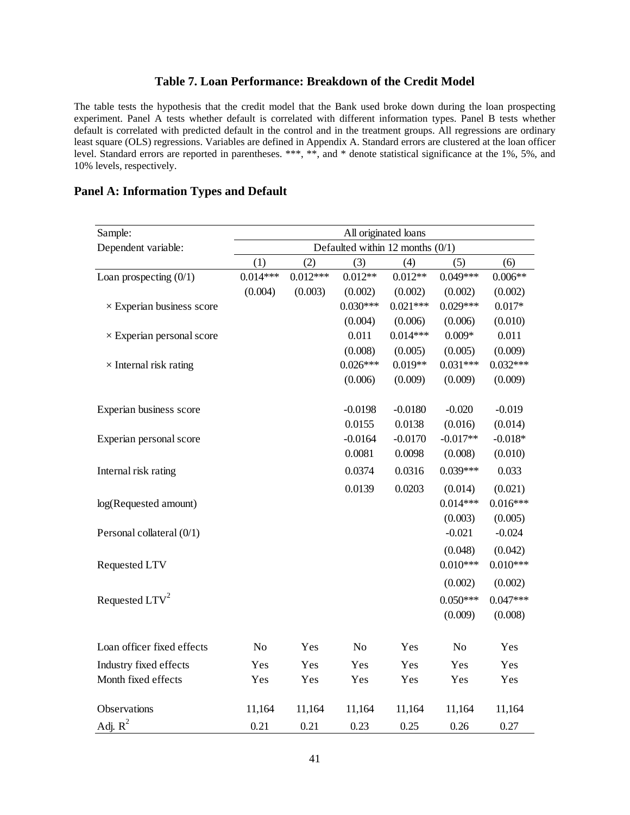### **Table 7. Loan Performance: Breakdown of the Credit Model**

The table tests the hypothesis that the credit model that the Bank used broke down during the loan prospecting experiment. Panel A tests whether default is correlated with different information types. Panel B tests whether default is correlated with predicted default in the control and in the treatment groups. All regressions are ordinary least square (OLS) regressions. Variables are defined in Appendix A. Standard errors are clustered at the loan officer level. Standard errors are reported in parentheses. \*\*\*, \*\*, and \* denote statistical significance at the 1%, 5%, and 10% levels, respectively.

### **Panel A: Information Types and Default**

| Sample:                          | All originated loans               |            |                |            |                |            |
|----------------------------------|------------------------------------|------------|----------------|------------|----------------|------------|
| Dependent variable:              | Defaulted within 12 months $(0/1)$ |            |                |            |                |            |
|                                  | (1)                                | (2)        | (3)            | (4)        | (5)            | (6)        |
| Loan prospecting $(0/1)$         | $0.014***$                         | $0.012***$ | $0.012**$      | $0.012**$  | $0.049***$     | $0.006**$  |
|                                  | (0.004)                            | (0.003)    | (0.002)        | (0.002)    | (0.002)        | (0.002)    |
| $\times$ Experian business score |                                    |            | $0.030***$     | $0.021***$ | $0.029***$     | $0.017*$   |
|                                  |                                    |            | (0.004)        | (0.006)    | (0.006)        | (0.010)    |
| $\times$ Experian personal score |                                    |            | 0.011          | $0.014***$ | $0.009*$       | 0.011      |
|                                  |                                    |            | (0.008)        | (0.005)    | (0.005)        | (0.009)    |
| $\times$ Internal risk rating    |                                    |            | $0.026***$     | $0.019**$  | $0.031***$     | $0.032***$ |
|                                  |                                    |            | (0.006)        | (0.009)    | (0.009)        | (0.009)    |
| Experian business score          |                                    |            | $-0.0198$      | $-0.0180$  | $-0.020$       | $-0.019$   |
|                                  |                                    |            | 0.0155         | 0.0138     | (0.016)        | (0.014)    |
| Experian personal score          |                                    |            | $-0.0164$      | $-0.0170$  | $-0.017**$     | $-0.018*$  |
|                                  |                                    |            | 0.0081         | 0.0098     | (0.008)        | (0.010)    |
| Internal risk rating             |                                    |            | 0.0374         | 0.0316     | $0.039***$     | 0.033      |
|                                  |                                    |            | 0.0139         | 0.0203     | (0.014)        | (0.021)    |
| log(Requested amount)            |                                    |            |                |            | $0.014***$     | $0.016***$ |
|                                  |                                    |            |                |            | (0.003)        | (0.005)    |
| Personal collateral (0/1)        |                                    |            |                |            | $-0.021$       | $-0.024$   |
|                                  |                                    |            |                |            | (0.048)        | (0.042)    |
| Requested LTV                    |                                    |            |                |            | $0.010***$     | $0.010***$ |
|                                  |                                    |            |                |            | (0.002)        | (0.002)    |
| Requested LTV <sup>2</sup>       |                                    |            |                |            | $0.050***$     | $0.047***$ |
|                                  |                                    |            |                |            | (0.009)        | (0.008)    |
| Loan officer fixed effects       | N <sub>o</sub>                     | Yes        | N <sub>o</sub> | Yes        | N <sub>o</sub> | Yes        |
| Industry fixed effects           | Yes                                | Yes        | Yes            | Yes        | Yes            | Yes        |
| Month fixed effects              | Yes                                | Yes        | Yes            | Yes        | Yes            | Yes        |
|                                  |                                    |            |                |            |                |            |
| Observations                     | 11,164                             | 11,164     | 11,164         | 11,164     | 11,164         | 11,164     |
| $\underline{Adj}$ . $R^2$        | 0.21                               | 0.21       | 0.23           | 0.25       | 0.26           | 0.27       |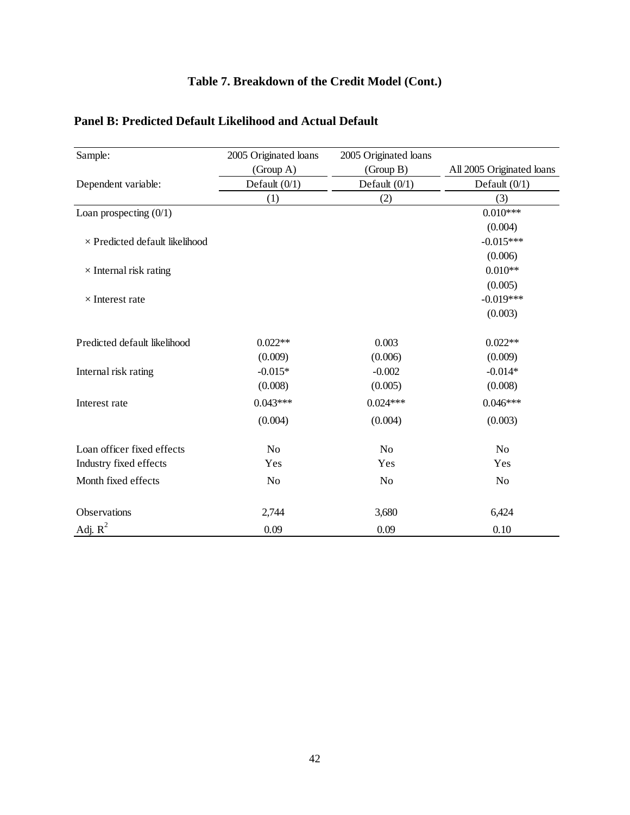## **Table 7. Breakdown of the Credit Model (Cont.)**

| Sample:                               | 2005 Originated loans | 2005 Originated loans |                           |
|---------------------------------------|-----------------------|-----------------------|---------------------------|
|                                       | (Group A)             | (Group B)             | All 2005 Originated loans |
| Dependent variable:                   | Default $(0/1)$       | Default $(0/1)$       | Default $(0/1)$           |
|                                       | (1)                   | (2)                   | (3)                       |
| Loan prospecting $(0/1)$              |                       |                       | $0.010***$                |
|                                       |                       |                       | (0.004)                   |
| $\times$ Predicted default likelihood |                       |                       | $-0.015***$               |
|                                       |                       |                       | (0.006)                   |
| $\times$ Internal risk rating         |                       |                       | $0.010**$                 |
|                                       |                       |                       | (0.005)                   |
| $\times$ Interest rate                |                       |                       | $-0.019***$               |
|                                       |                       |                       | (0.003)                   |
| Predicted default likelihood          | $0.022**$             | 0.003                 | $0.022**$                 |
|                                       | (0.009)               | (0.006)               | (0.009)                   |
| Internal risk rating                  | $-0.015*$             | $-0.002$              | $-0.014*$                 |
|                                       | (0.008)               | (0.005)               | (0.008)                   |
| Interest rate                         | $0.043***$            | $0.024***$            | $0.046***$                |
|                                       | (0.004)               | (0.004)               | (0.003)                   |
| Loan officer fixed effects            | N <sub>o</sub>        | N <sub>o</sub>        | N <sub>o</sub>            |
| Industry fixed effects                | Yes                   | Yes                   | Yes                       |
| Month fixed effects                   | N <sub>0</sub>        | N <sub>o</sub>        | N <sub>o</sub>            |
| Observations                          | 2,744                 | 3,680                 | 6,424                     |
| Adj. $R^2$                            | 0.09                  | 0.09                  | 0.10                      |

## **Panel B: Predicted Default Likelihood and Actual Default**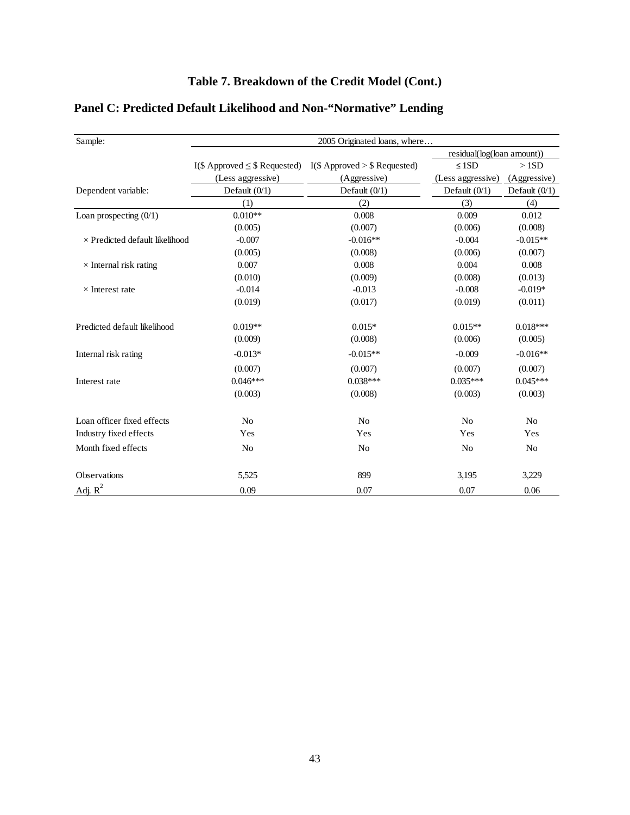| Sample:                               | 2005 Originated loans, where       |                                  |                            |                 |  |  |  |
|---------------------------------------|------------------------------------|----------------------------------|----------------------------|-----------------|--|--|--|
|                                       |                                    |                                  | residual(log(loan amount)) |                 |  |  |  |
|                                       | I(\$ Approved $\leq$ \$ Requested) | $I(\$$ Approved > \\$ Requested) | $\leq$ 1SD                 | >1SD            |  |  |  |
|                                       | (Less aggressive)                  | (Aggressive)                     | (Less aggressive)          | (Aggressive)    |  |  |  |
| Dependent variable:                   | Default $(0/1)$                    | Default $(0/1)$                  | Default $(0/1)$            | Default $(0/1)$ |  |  |  |
|                                       | (1)                                | (2)                              | (3)                        | (4)             |  |  |  |
| Loan prospecting $(0/1)$              | $0.010**$                          | 0.008                            | 0.009                      | 0.012           |  |  |  |
|                                       | (0.005)                            | (0.007)                          | (0.006)                    | (0.008)         |  |  |  |
| $\times$ Predicted default likelihood | $-0.007$                           | $-0.016**$                       | $-0.004$                   | $-0.015**$      |  |  |  |
|                                       | (0.005)                            | (0.008)                          | (0.006)                    | (0.007)         |  |  |  |
| $\times$ Internal risk rating         | 0.007                              | 0.008                            | 0.004                      | 0.008           |  |  |  |
|                                       | (0.010)                            | (0.009)                          | (0.008)                    | (0.013)         |  |  |  |
| $\times$ Interest rate                | $-0.014$                           | $-0.013$                         | $-0.008$                   | $-0.019*$       |  |  |  |
|                                       | (0.019)                            | (0.017)                          | (0.019)                    | (0.011)         |  |  |  |
| Predicted default likelihood          | $0.019**$                          | $0.015*$                         | $0.015**$                  | $0.018***$      |  |  |  |
|                                       | (0.009)                            | (0.008)                          | (0.006)                    | (0.005)         |  |  |  |
| Internal risk rating                  | $-0.013*$                          | $-0.015**$                       | $-0.009$                   | $-0.016**$      |  |  |  |
|                                       | (0.007)                            | (0.007)                          | (0.007)                    | (0.007)         |  |  |  |
| Interest rate                         | $0.046***$                         | $0.038***$                       | $0.035***$                 | $0.045***$      |  |  |  |
|                                       | (0.003)                            | (0.008)                          | (0.003)                    | (0.003)         |  |  |  |
| Loan officer fixed effects            | N <sub>0</sub>                     | N <sub>o</sub>                   | N <sub>o</sub>             | N <sub>0</sub>  |  |  |  |
| Industry fixed effects                | Yes                                | Yes                              | Yes                        | Yes             |  |  |  |
| Month fixed effects                   | N <sub>o</sub>                     | N <sub>o</sub>                   | N <sub>o</sub>             | No              |  |  |  |
| Observations                          | 5,525                              | 899                              | 3,195                      | 3,229           |  |  |  |
| Adj. $R^2$                            | 0.09                               | 0.07                             | 0.07                       | 0.06            |  |  |  |

## **Panel C: Predicted Default Likelihood and Non-"Normative" Lending**